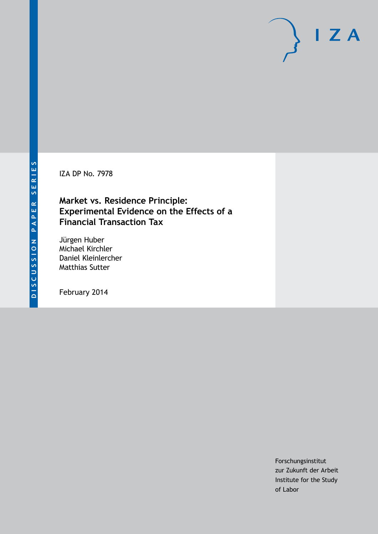IZA DP No. 7978

## **Market vs. Residence Principle: Experimental Evidence on the Effects of a Financial Transaction Tax**

Jürgen Huber Michael Kirchler Daniel Kleinlercher Matthias Sutter

February 2014

Forschungsinstitut zur Zukunft der Arbeit Institute for the Study of Labor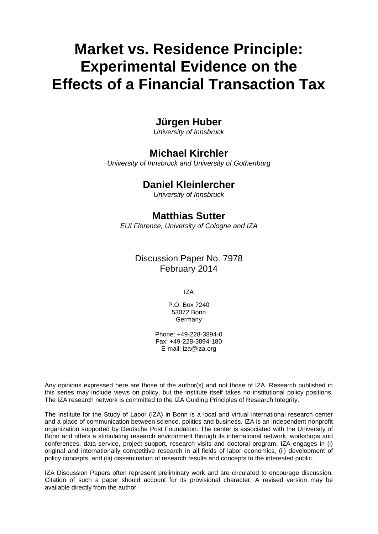# **Market vs. Residence Principle: Experimental Evidence on the Effects of a Financial Transaction Tax**

## **Jürgen Huber**

*University of Innsbruck*

## **Michael Kirchler**

*University of Innsbruck and University of Gothenburg*

## **Daniel Kleinlercher**

*University of Innsbruck*

## **Matthias Sutter**

*EUI Florence, University of Cologne and IZA*

## Discussion Paper No. 7978 February 2014

IZA

P.O. Box 7240 53072 Bonn **Germany** 

Phone: +49-228-3894-0 Fax: +49-228-3894-180 E-mail: [iza@iza.org](mailto:iza@iza.org)

Any opinions expressed here are those of the author(s) and not those of IZA. Research published in this series may include views on policy, but the institute itself takes no institutional policy positions. The IZA research network is committed to the IZA Guiding Principles of Research Integrity.

The Institute for the Study of Labor (IZA) in Bonn is a local and virtual international research center and a place of communication between science, politics and business. IZA is an independent nonprofit organization supported by Deutsche Post Foundation. The center is associated with the University of Bonn and offers a stimulating research environment through its international network, workshops and conferences, data service, project support, research visits and doctoral program. IZA engages in (i) original and internationally competitive research in all fields of labor economics, (ii) development of policy concepts, and (iii) dissemination of research results and concepts to the interested public.

<span id="page-1-0"></span>IZA Discussion Papers often represent preliminary work and are circulated to encourage discussion. Citation of such a paper should account for its provisional character. A revised version may be available directly from the author.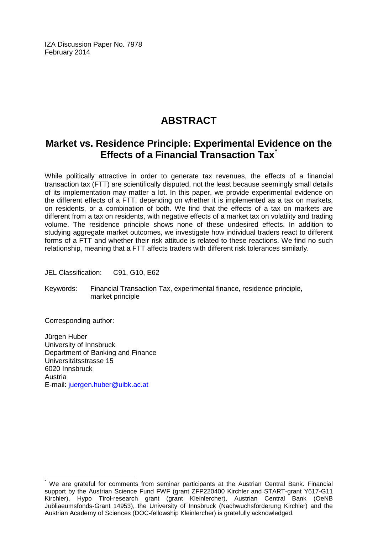IZA Discussion Paper No. 7978 February 2014

## **ABSTRACT**

## **Market vs. Residence Principle: Experimental Evidence on the Effects of a Financial Transaction Tax[\\*](#page-1-0)**

While politically attractive in order to generate tax revenues, the effects of a financial transaction tax (FTT) are scientifically disputed, not the least because seemingly small details of its implementation may matter a lot. In this paper, we provide experimental evidence on the different effects of a FTT, depending on whether it is implemented as a tax on markets, on residents, or a combination of both. We find that the effects of a tax on markets are different from a tax on residents, with negative effects of a market tax on volatility and trading volume. The residence principle shows none of these undesired effects. In addition to studying aggregate market outcomes, we investigate how individual traders react to different forms of a FTT and whether their risk attitude is related to these reactions. We find no such relationship, meaning that a FTT affects traders with different risk tolerances similarly.

JEL Classification: C91, G10, E62

Keywords: Financial Transaction Tax, experimental finance, residence principle, market principle

Corresponding author:

Jürgen Huber University of Innsbruck Department of Banking and Finance Universitätsstrasse 15 6020 Innsbruck Austria E-mail: [juergen.huber@uibk.ac.at](mailto:juergen.huber@uibk.ac.at)

We are grateful for comments from seminar participants at the Austrian Central Bank. Financial support by the Austrian Science Fund FWF (grant ZFP220400 Kirchler and START-grant Y617-G11 Kirchler), Hypo Tirol-research grant (grant Kleinlercher), Austrian Central Bank (OeNB Jubliaeumsfonds-Grant 14953), the University of Innsbruck (Nachwuchsförderung Kirchler) and the Austrian Academy of Sciences (DOC-fellowship Kleinlercher) is gratefully acknowledged.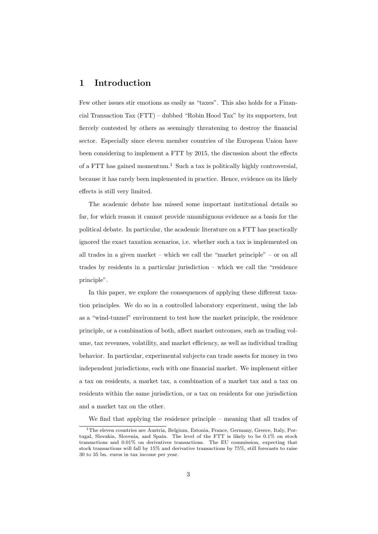### **1 Introduction**

Few other issues stir emotions as easily as "taxes". This also holds for a Financial Transaction Tax (FTT) – dubbed "Robin Hood Tax" by its supporters, but fiercely contested by others as seemingly threatening to destroy the financial sector. Especially since eleven member countries of the European Union have been considering to implement a FTT by 2015, the discussion about the effects of a FTT has gained momentum.<sup>1</sup> Such a tax is politically highly controversial, because it has rarely been implemented in practice. Hence, evidence on its likely effects is still very limited.

The academic debate has missed some important institutional details so far, for which reason it cannot provide unambiguous evidence as a basis for the political debate. In particular, the academic literature on a FTT has practically ignored the exact taxation scenarios, i.e. whether such a tax is implemented on all trades in a given market – which we call the "market principle" – or on all trades by residents in a particular jurisdiction – which we call the "residence principle".

In this paper, we explore the consequences of applying these different taxation principles. We do so in a controlled laboratory experiment, using the lab as a "wind-tunnel" environment to test how the market principle, the residence principle, or a combination of both, affect market outcomes, such as trading volume, tax revenues, volatility, and market efficiency, as well as individual trading behavior. In particular, experimental subjects can trade assets for money in two independent jurisdictions, each with one financial market. We implement either a tax on residents, a market tax, a combination of a market tax and a tax on residents within the same jurisdiction, or a tax on residents for one jurisdiction and a market tax on the other.

We find that applying the residence principle – meaning that all trades of

<sup>1</sup>The eleven countries are Austria, Belgium, Estonia, France, Germany, Greece, Italy, Portugal, Slovakia, Slovenia, and Spain. The level of the FTT is likely to be 0.1% on stock transactions and 0.01% on derivatives transactions. The EU commission, expecting that stock transactions will fall by 15% and derivative transactions by 75%, still forecasts to raise 30 to 35 bn. euros in tax income per year.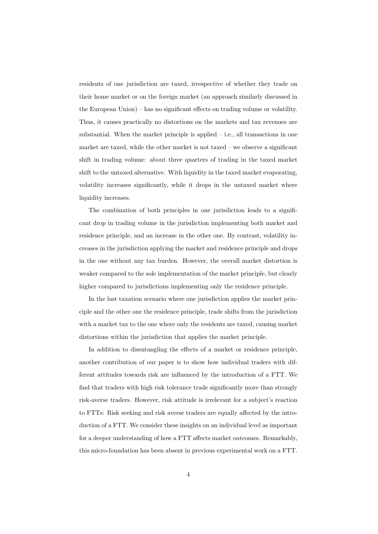residents of one jurisdiction are taxed, irrespective of whether they trade on their home market or on the foreign market (an approach similarly discussed in the European Union) – has no significant effects on trading volume or volatility. Thus, it causes practically no distortions on the markets and tax revenues are substantial. When the market principle is applied  $-$  i.e., all transactions in one market are taxed, while the other market is not taxed – we observe a significant shift in trading volume: about three quarters of trading in the taxed market shift to the untaxed alternative. With liquidity in the taxed market evaporating, volatility increases significantly, while it drops in the untaxed market where liquidity increases.

The combination of both principles in one jurisdiction leads to a significant drop in trading volume in the jurisdiction implementing both market and residence principle, and an increase in the other one. By contrast, volatility increases in the jurisdiction applying the market and residence principle and drops in the one without any tax burden. However, the overall market distortion is weaker compared to the sole implementation of the market principle, but clearly higher compared to jurisdictions implementing only the residence principle.

In the last taxation scenario where one jurisdiction applies the market principle and the other one the residence principle, trade shifts from the jurisdiction with a market tax to the one where only the residents are taxed, causing market distortions within the jurisdiction that applies the market principle.

In addition to disentangling the effects of a market or residence principle, another contribution of our paper is to show how individual traders with different attitudes towards risk are influenced by the introduction of a FTT. We find that traders with high risk tolerance trade significantly more than strongly risk-averse traders. However, risk attitude is irrelevant for a subject's reaction to FTTs: Risk seeking and risk averse traders are equally affected by the introduction of a FTT. We consider these insights on an individual level as important for a deeper understanding of how a FTT affects market outcomes. Remarkably, this micro-foundation has been absent in previous experimental work on a FTT.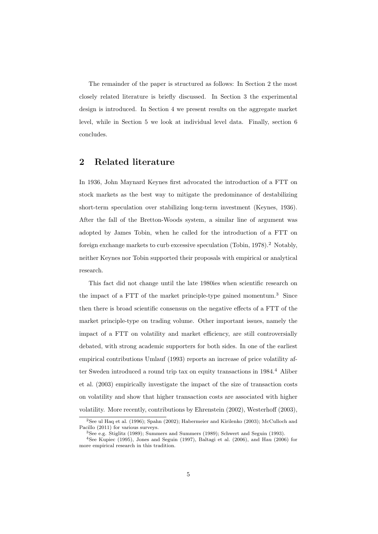The remainder of the paper is structured as follows: In Section 2 the most closely related literature is briefly discussed. In Section 3 the experimental design is introduced. In Section 4 we present results on the aggregate market level, while in Section 5 we look at individual level data. Finally, section 6 concludes.

### **2 Related literature**

In 1936, John Maynard Keynes first advocated the introduction of a FTT on stock markets as the best way to mitigate the predominance of destabilizing short-term speculation over stabilizing long-term investment (Keynes, 1936). After the fall of the Bretton-Woods system, a similar line of argument was adopted by James Tobin, when he called for the introduction of a FTT on foreign exchange markets to curb excessive speculation (Tobin,  $1978$ ).<sup>2</sup> Notably, neither Keynes nor Tobin supported their proposals with empirical or analytical research.

This fact did not change until the late 1980ies when scientific research on the impact of a FTT of the market principle-type gained momentum.<sup>3</sup> Since then there is broad scientific consensus on the negative effects of a FTT of the market principle-type on trading volume. Other important issues, namely the impact of a FTT on volatility and market efficiency, are still controversially debated, with strong academic supporters for both sides. In one of the earliest empirical contributions Umlauf (1993) reports an increase of price volatility after Sweden introduced a round trip tax on equity transactions in  $1984<sup>4</sup>$  Aliber et al. (2003) empirically investigate the impact of the size of transaction costs on volatility and show that higher transaction costs are associated with higher volatility. More recently, contributions by Ehrenstein (2002), Westerhoff (2003),

<sup>2</sup>See ul Haq et al. (1996); Spahn (2002); Habermeier and Kirilenko (2003); McCulloch and Pacillo (2011) for various surveys.

<sup>3</sup>See e.g. Stiglitz (1989); Summers and Summers (1989); Schwert and Seguin (1993).

<sup>4</sup>See Kupiec (1995), Jones and Seguin (1997), Baltagi et al. (2006), and Hau (2006) for more empirical research in this tradition.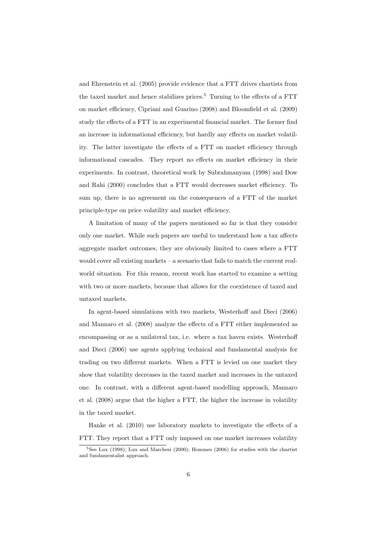and Ehrenstein et al. (2005) provide evidence that a FTT drives chartists from the taxed market and hence stabilizes prices.<sup>5</sup> Turning to the effects of a FTT on market efficiency, Cipriani and Guarino (2008) and Bloomfield et al. (2009) study the effects of a FTT in an experimental financial market. The former find an increase in informational efficiency, but hardly any effects on market volatility. The latter investigate the effects of a FTT on market efficiency through informational cascades. They report no effects on market efficiency in their experiments. In contrast, theoretical work by Subrahmanyam (1998) and Dow and Rahi (2000) concludes that a FTT would decreases market efficiency. To sum up, there is no agreement on the consequences of a FTT of the market principle-type on price volatility and market efficiency.

A limitation of many of the papers mentioned so far is that they consider only one market. While such papers are useful to understand how a tax affects aggregate market outcomes, they are obviously limited to cases where a FTT would cover all existing markets – a scenario that fails to match the current realworld situation. For this reason, recent work has started to examine a setting with two or more markets, because that allows for the coexistence of taxed and untaxed markets.

In agent-based simulations with two markets, Westerhoff and Dieci (2006) and Mannaro et al. (2008) analyze the effects of a FTT either implemented as encompassing or as a unilateral tax, i.e. where a tax haven exists. Westerhoff and Dieci (2006) use agents applying technical and fundamental analysis for trading on two different markets. When a FTT is levied on one market they show that volatility decreases in the taxed market and increases in the untaxed one. In contrast, with a different agent-based modelling approach, Mannaro et al. (2008) argue that the higher a FTT, the higher the increase in volatility in the taxed market.

Hanke et al. (2010) use laboratory markets to investigate the effects of a FTT. They report that a FTT only imposed on one market increases volatility

 $5$ See Lux (1998); Lux and Marchesi (2000); Hommes (2006) for studies with the chartist and fundamentalist approach.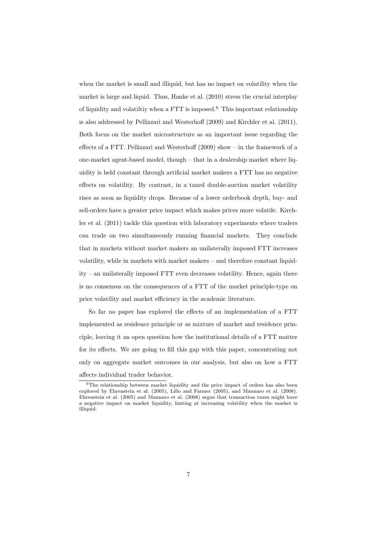when the market is small and illiquid, but has no impact on volatility when the market is large and liquid. Thus, Hanke et al. (2010) stress the crucial interplay of liquidity and volatiltiv when a FTT is imposed.<sup>6</sup> This important relationship is also addressed by Pellizzari and Westerhoff (2009) and Kirchler et al. (2011). Both focus on the market microstructure as an important issue regarding the effects of a FTT. Pellizzari and Westerhoff (2009) show – in the framework of a one-market agent-based model, though – that in a dealership market where liquidity is held constant through artificial market makers a FTT has no negative effects on volatility. By contrast, in a taxed double-auction market volatility rises as soon as liquidity drops. Because of a lower orderbook depth, buy- and sell-orders have a greater price impact which makes prices more volatile. Kirchler et al. (2011) tackle this question with laboratory experiments where traders can trade on two simultaneously running financial markets. They conclude that in markets without market makers an unilaterally imposed FTT increases volatility, while in markets with market makers – and therefore constant liquidity – an unilaterally imposed FTT even decreases volatility. Hence, again there is no consensus on the consequences of a FTT of the market principle-type on price volatility and market efficiency in the academic literature.

So far no paper has explored the effects of an implementation of a FTT implemented as residence principle or as mixture of market and residence principle, leaving it an open question how the institutional details of a FTT matter for its effects. We are going to fill this gap with this paper, concentrating not only on aggregate market outcomes in our analysis, but also on how a FTT affects individual trader behavior.

 $6$ The relationship between market liquidity and the price impact of orders has also been explored by Ehrenstein et al. (2005), Lillo and Farmer (2005), and Mannaro et al. (2008). Ehrenstein et al. (2005) and Mannaro et al. (2008) argue that transaction taxes might have a negative impact on market liquidity, hinting at increasing volatility when the market is illiquid.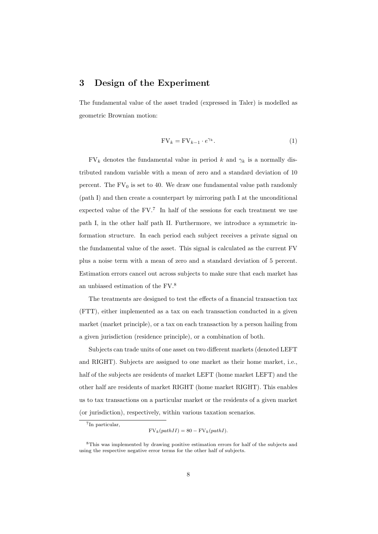### **3 Design of the Experiment**

The fundamental value of the asset traded (expressed in Taler) is modelled as geometric Brownian motion:

$$
FV_k = FV_{k-1} \cdot e^{\gamma_k}.
$$
 (1)

 $FV_k$  denotes the fundamental value in period *k* and  $\gamma_k$  is a normally distributed random variable with a mean of zero and a standard deviation of 10 percent. The  $FV_0$  is set to 40. We draw one fundamental value path randomly (path I) and then create a counterpart by mirroring path I at the unconditional expected value of the  $FV$ .<sup>7</sup> In half of the sessions for each treatment we use path I, in the other half path II. Furthermore, we introduce a symmetric information structure. In each period each subject receives a private signal on the fundamental value of the asset. This signal is calculated as the current FV plus a noise term with a mean of zero and a standard deviation of 5 percent. Estimation errors cancel out across subjects to make sure that each market has an unbiased estimation of the FV.<sup>8</sup>

The treatments are designed to test the effects of a financial transaction tax (FTT), either implemented as a tax on each transaction conducted in a given market (market principle), or a tax on each transaction by a person hailing from a given jurisdiction (residence principle), or a combination of both.

Subjects can trade units of one asset on two different markets (denoted LEFT and RIGHT). Subjects are assigned to one market as their home market, i.e., half of the subjects are residents of market LEFT (home market LEFT) and the other half are residents of market RIGHT (home market RIGHT). This enables us to tax transactions on a particular market or the residents of a given market (or jurisdiction), respectively, within various taxation scenarios.

<sup>7</sup> In particular,

 $FV_k(pathII) = 80 - FV_k(pathI).$ 

<sup>8</sup>This was implemented by drawing positive estimation errors for half of the subjects and using the respective negative error terms for the other half of subjects.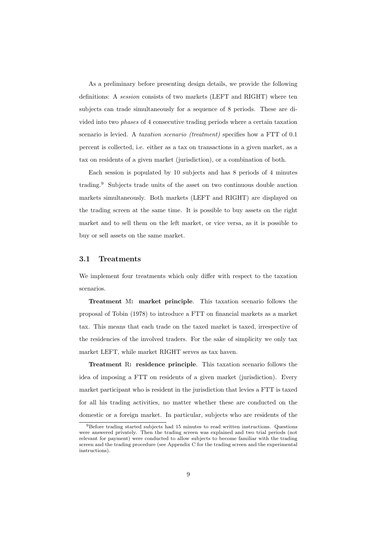As a preliminary before presenting design details, we provide the following definitions: A *session* consists of two markets (LEFT and RIGHT) where ten subjects can trade simultaneously for a sequence of 8 periods. These are divided into two *phases* of 4 consecutive trading periods where a certain taxation scenario is levied. A *taxation scenario (treatment)* specifies how a FTT of 0.1 percent is collected, i.e. either as a tax on transactions in a given market, as a tax on residents of a given market (jurisdiction), or a combination of both.

Each session is populated by 10 subjects and has 8 periods of 4 minutes trading.<sup>9</sup> Subjects trade units of the asset on two continuous double auction markets simultaneously. Both markets (LEFT and RIGHT) are displayed on the trading screen at the same time. It is possible to buy assets on the right market and to sell them on the left market, or vice versa, as it is possible to buy or sell assets on the same market.

#### **3.1 Treatments**

We implement four treatments which only differ with respect to the taxation scenarios.

**Treatment** M**: market principle**. This taxation scenario follows the proposal of Tobin (1978) to introduce a FTT on financial markets as a market tax. This means that each trade on the taxed market is taxed, irrespective of the residencies of the involved traders. For the sake of simplicity we only tax market LEFT, while market RIGHT serves as tax haven.

**Treatment** R**: residence principle**. This taxation scenario follows the idea of imposing a FTT on residents of a given market (jurisdiction). Every market participant who is resident in the jurisdiction that levies a FTT is taxed for all his trading activities, no matter whether these are conducted on the domestic or a foreign market. In particular, subjects who are residents of the

<sup>9</sup>Before trading started subjects had 15 minutes to read written instructions. Questions were answered privately. Then the trading screen was explained and two trial periods (not relevant for payment) were conducted to allow subjects to become familiar with the trading screen and the trading procedure (see Appendix C for the trading screen and the experimental instructions).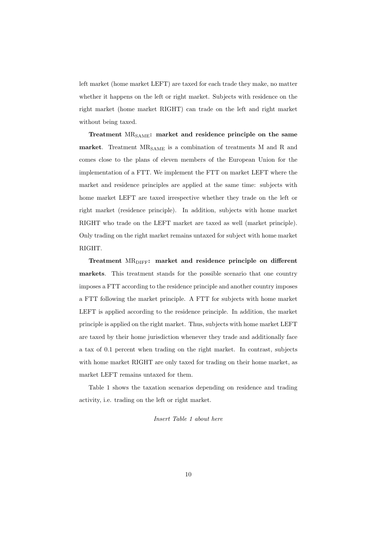left market (home market LEFT) are taxed for each trade they make, no matter whether it happens on the left or right market. Subjects with residence on the right market (home market RIGHT) can trade on the left and right market without being taxed.

**Treatment** MRSAME**: market and residence principle on the same** market. Treatment MR<sub>SAME</sub> is a combination of treatments M and R and comes close to the plans of eleven members of the European Union for the implementation of a FTT. We implement the FTT on market LEFT where the market and residence principles are applied at the same time: subjects with home market LEFT are taxed irrespective whether they trade on the left or right market (residence principle). In addition, subjects with home market RIGHT who trade on the LEFT market are taxed as well (market principle). Only trading on the right market remains untaxed for subject with home market RIGHT.

**Treatment** MR<sub>DIFF</sub>: market and residence principle on different **markets**. This treatment stands for the possible scenario that one country imposes a FTT according to the residence principle and another country imposes a FTT following the market principle. A FTT for subjects with home market LEFT is applied according to the residence principle. In addition, the market principle is applied on the right market. Thus, subjects with home market LEFT are taxed by their home jurisdiction whenever they trade and additionally face a tax of 0.1 percent when trading on the right market. In contrast, subjects with home market RIGHT are only taxed for trading on their home market, as market LEFT remains untaxed for them.

Table 1 shows the taxation scenarios depending on residence and trading activity, i.e. trading on the left or right market.

#### *Insert Table 1 about here*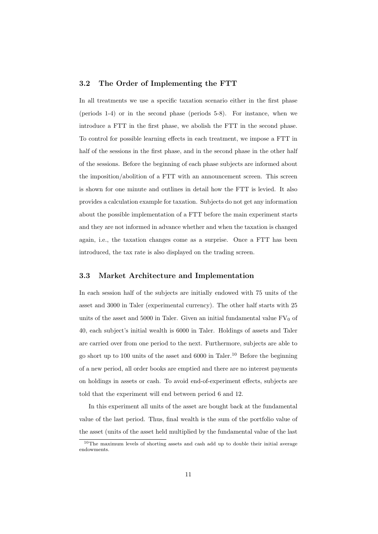#### **3.2 The Order of Implementing the FTT**

In all treatments we use a specific taxation scenario either in the first phase (periods 1-4) or in the second phase (periods 5-8). For instance, when we introduce a FTT in the first phase, we abolish the FTT in the second phase. To control for possible learning effects in each treatment, we impose a FTT in half of the sessions in the first phase, and in the second phase in the other half of the sessions. Before the beginning of each phase subjects are informed about the imposition/abolition of a FTT with an announcement screen. This screen is shown for one minute and outlines in detail how the FTT is levied. It also provides a calculation example for taxation. Subjects do not get any information about the possible implementation of a FTT before the main experiment starts and they are not informed in advance whether and when the taxation is changed again, i.e., the taxation changes come as a surprise. Once a FTT has been introduced, the tax rate is also displayed on the trading screen.

#### **3.3 Market Architecture and Implementation**

In each session half of the subjects are initially endowed with 75 units of the asset and 3000 in Taler (experimental currency). The other half starts with 25 units of the asset and 5000 in Taler. Given an initial fundamental value  $FV_0$  of 40, each subject's initial wealth is 6000 in Taler. Holdings of assets and Taler are carried over from one period to the next. Furthermore, subjects are able to go short up to 100 units of the asset and  $6000$  in Taler.<sup>10</sup> Before the beginning of a new period, all order books are emptied and there are no interest payments on holdings in assets or cash. To avoid end-of-experiment effects, subjects are told that the experiment will end between period 6 and 12.

In this experiment all units of the asset are bought back at the fundamental value of the last period. Thus, final wealth is the sum of the portfolio value of the asset (units of the asset held multiplied by the fundamental value of the last

<sup>&</sup>lt;sup>10</sup>The maximum levels of shorting assets and cash add up to double their initial average endowments.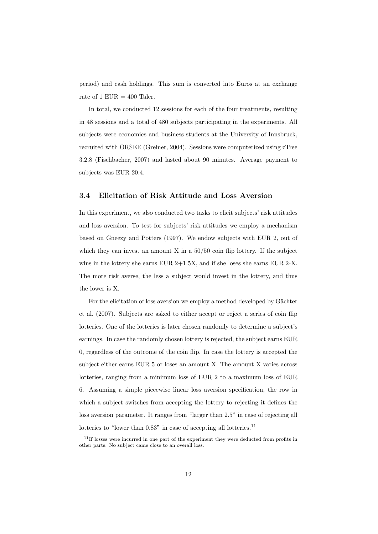period) and cash holdings. This sum is converted into Euros at an exchange rate of 1 EUR  $=$  400 Taler.

In total, we conducted 12 sessions for each of the four treatments, resulting in 48 sessions and a total of 480 subjects participating in the experiments. All subjects were economics and business students at the University of Innsbruck, recruited with ORSEE (Greiner, 2004). Sessions were computerized using zTree 3.2.8 (Fischbacher, 2007) and lasted about 90 minutes. Average payment to subjects was EUR 20.4.

#### **3.4 Elicitation of Risk Attitude and Loss Aversion**

In this experiment, we also conducted two tasks to elicit subjects' risk attitudes and loss aversion. To test for subjects' risk attitudes we employ a mechanism based on Gneezy and Potters (1997). We endow subjects with EUR 2, out of which they can invest an amount  $X$  in a  $50/50$  coin flip lottery. If the subject wins in the lottery she earns EUR  $2+1.5X$ , and if she loses she earns EUR  $2-X$ . The more risk averse, the less a subject would invest in the lottery, and thus the lower is X.

For the elicitation of loss aversion we employ a method developed by Gächter et al. (2007). Subjects are asked to either accept or reject a series of coin flip lotteries. One of the lotteries is later chosen randomly to determine a subject's earnings. In case the randomly chosen lottery is rejected, the subject earns EUR 0, regardless of the outcome of the coin flip. In case the lottery is accepted the subject either earns EUR 5 or loses an amount X. The amount X varies across lotteries, ranging from a minimum loss of EUR 2 to a maximum loss of EUR 6. Assuming a simple piecewise linear loss aversion specification, the row in which a subject switches from accepting the lottery to rejecting it defines the loss aversion parameter. It ranges from "larger than 2.5" in case of rejecting all lotteries to "lower than  $0.83$ " in case of accepting all lotteries.<sup>11</sup>

<sup>&</sup>lt;sup>11</sup>If losses were incurred in one part of the experiment they were deducted from profits in other parts. No subject came close to an overall loss.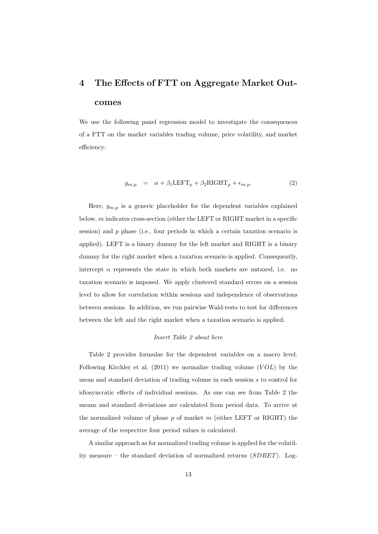# **4 The Effects of FTT on Aggregate Market Outcomes**

We use the following panel regression model to investigate the consequences of a FTT on the market variables trading volume, price volatility, and market efficiency:

$$
y_{m,p} = \alpha + \beta_1 \text{LEFT}_p + \beta_2 \text{RIGHT}_p + \epsilon_{m,p}.
$$
 (2)

Here,  $y_{m,p}$  is a generic placeholder for the dependent variables explained below, *m* indicates cross-section (either the LEFT or RIGHT market in a specific session) and *p* phase (i.e., four periods in which a certain taxation scenario is applied). LEFT is a binary dummy for the left market and RIGHT is a binary dummy for the right market when a taxation scenario is applied. Consequently, intercept  $\alpha$  represents the state in which both markets are untaxed, i.e. no taxation scenario is imposed. We apply clustered standard errors on a session level to allow for correlation within sessions and independence of observations between sessions. In addition, we run pairwise Wald-tests to test for differences between the left and the right market when a taxation scenario is applied.

#### *Insert Table 2 about here*

Table 2 provides formulae for the dependent variables on a macro level. Following Kirchler et al. (2011) we normalize trading volume (*V OL*) by the mean and standard deviation of trading volume in each session *s* to control for idiosyncratic effects of individual sessions. As one can see from Table 2 the means and standard deviations are calculated from period data. To arrive at the normalized volume of phase *p* of market *m* (either LEFT or RIGHT) the average of the respective four period values is calculated.

A similar approach as for normalized trading volume is applied for the volatility measure – the standard deviation of normalized returns (*SDRET*). Log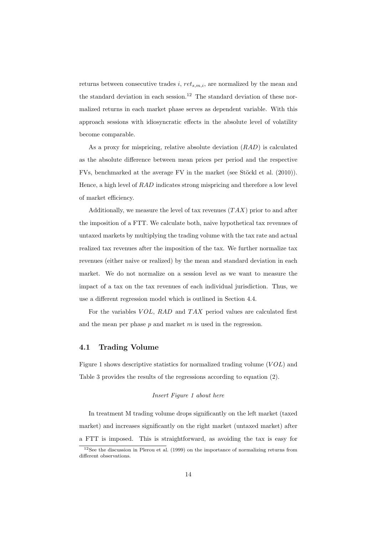returns between consecutive trades *i*, *rets,m,i*, are normalized by the mean and the standard deviation in each session.<sup>12</sup> The standard deviation of these normalized returns in each market phase serves as dependent variable. With this approach sessions with idiosyncratic effects in the absolute level of volatility become comparable.

As a proxy for mispricing, relative absolute deviation (*RAD*) is calculated as the absolute difference between mean prices per period and the respective FVs, benchmarked at the average FV in the market (see Stöckl et al. (2010)). Hence, a high level of *RAD* indicates strong mispricing and therefore a low level of market efficiency.

Additionally, we measure the level of tax revenues (*T AX*) prior to and after the imposition of a FTT. We calculate both, naive hypothetical tax revenues of untaxed markets by multiplying the trading volume with the tax rate and actual realized tax revenues after the imposition of the tax. We further normalize tax revenues (either naive or realized) by the mean and standard deviation in each market. We do not normalize on a session level as we want to measure the impact of a tax on the tax revenues of each individual jurisdiction. Thus, we use a different regression model which is outlined in Section 4.4.

For the variables *V OL*, *RAD* and *T AX* period values are calculated first and the mean per phase *p* and market *m* is used in the regression.

#### **4.1 Trading Volume**

Figure 1 shows descriptive statistics for normalized trading volume (*V OL*) and Table 3 provides the results of the regressions according to equation (2).

#### *Insert Figure 1 about here*

In treatment M trading volume drops significantly on the left market (taxed market) and increases significantly on the right market (untaxed market) after a FTT is imposed. This is straightforward, as avoiding the tax is easy for

 $12$ See the discussion in Plerou et al. (1999) on the importance of normalizing returns from different observations.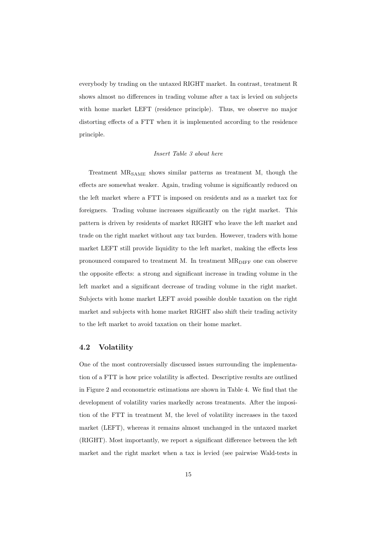everybody by trading on the untaxed RIGHT market. In contrast, treatment R shows almost no differences in trading volume after a tax is levied on subjects with home market LEFT (residence principle). Thus, we observe no major distorting effects of a FTT when it is implemented according to the residence principle.

#### *Insert Table 3 about here*

Treatment MRSAME shows similar patterns as treatment M, though the effects are somewhat weaker. Again, trading volume is significantly reduced on the left market where a FTT is imposed on residents and as a market tax for foreigners. Trading volume increases significantly on the right market. This pattern is driven by residents of market RIGHT who leave the left market and trade on the right market without any tax burden. However, traders with home market LEFT still provide liquidity to the left market, making the effects less pronounced compared to treatment M. In treatment  $MR_{\text{DIFF}}$  one can observe the opposite effects: a strong and significant increase in trading volume in the left market and a significant decrease of trading volume in the right market. Subjects with home market LEFT avoid possible double taxation on the right market and subjects with home market RIGHT also shift their trading activity to the left market to avoid taxation on their home market.

#### **4.2 Volatility**

One of the most controversially discussed issues surrounding the implementation of a FTT is how price volatility is affected. Descriptive results are outlined in Figure 2 and econometric estimations are shown in Table 4. We find that the development of volatility varies markedly across treatments. After the imposition of the FTT in treatment M, the level of volatility increases in the taxed market (LEFT), whereas it remains almost unchanged in the untaxed market (RIGHT). Most importantly, we report a significant difference between the left market and the right market when a tax is levied (see pairwise Wald-tests in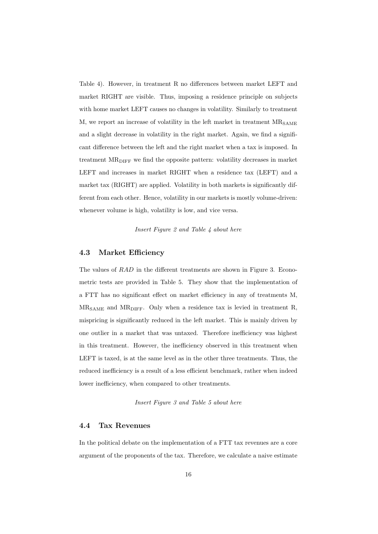Table 4). However, in treatment R no differences between market LEFT and market RIGHT are visible. Thus, imposing a residence principle on subjects with home market LEFT causes no changes in volatility. Similarly to treatment  $M$ , we report an increase of volatility in the left market in treatment  $MR_{SAME}$ and a slight decrease in volatility in the right market. Again, we find a significant difference between the left and the right market when a tax is imposed. In treatment MR<sub>DIFF</sub> we find the opposite pattern: volatility decreases in market LEFT and increases in market RIGHT when a residence tax (LEFT) and a market tax (RIGHT) are applied. Volatility in both markets is significantly different from each other. Hence, volatility in our markets is mostly volume-driven: whenever volume is high, volatility is low, and vice versa.

*Insert Figure 2 and Table 4 about here*

#### **4.3 Market Efficiency**

The values of *RAD* in the different treatments are shown in Figure 3. Econometric tests are provided in Table 5. They show that the implementation of a FTT has no significant effect on market efficiency in any of treatments M,  $MR_{SAME}$  and  $MR_{DIFF}$ . Only when a residence tax is levied in treatment R, mispricing is significantly reduced in the left market. This is mainly driven by one outlier in a market that was untaxed. Therefore inefficiency was highest in this treatment. However, the inefficiency observed in this treatment when LEFT is taxed, is at the same level as in the other three treatments. Thus, the reduced inefficiency is a result of a less efficient benchmark, rather when indeed lower inefficiency, when compared to other treatments.

#### *Insert Figure 3 and Table 5 about here*

#### **4.4 Tax Revenues**

In the political debate on the implementation of a FTT tax revenues are a core argument of the proponents of the tax. Therefore, we calculate a naive estimate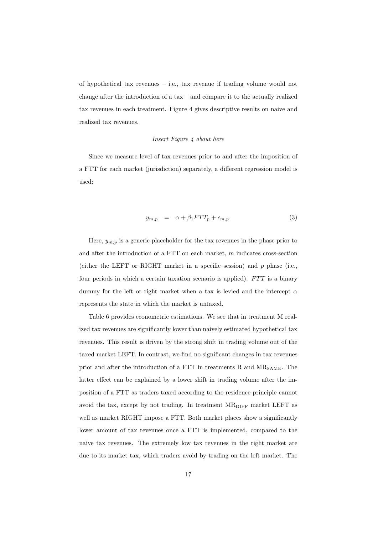of hypothetical tax revenues – i.e., tax revenue if trading volume would not change after the introduction of a tax – and compare it to the actually realized tax revenues in each treatment. Figure 4 gives descriptive results on naive and realized tax revenues.

#### *Insert Figure 4 about here*

Since we measure level of tax revenues prior to and after the imposition of a FTT for each market (jurisdiction) separately, a different regression model is used:

$$
y_{m,p} = \alpha + \beta_1 FTT_p + \epsilon_{m,p}.
$$
 (3)

Here,  $y_{m,p}$  is a generic placeholder for the tax revenues in the phase prior to and after the introduction of a FTT on each market, *m* indicates cross-section (either the LEFT or RIGHT market in a specific session) and *p* phase (i.e., four periods in which a certain taxation scenario is applied). *F T T* is a binary dummy for the left or right market when a tax is levied and the intercept *α* represents the state in which the market is untaxed.

Table 6 provides econometric estimations. We see that in treatment M realized tax revenues are significantly lower than naively estimated hypothetical tax revenues. This result is driven by the strong shift in trading volume out of the taxed market LEFT. In contrast, we find no significant changes in tax revenues prior and after the introduction of a FTT in treatments R and MR<sub>SAME</sub>. The latter effect can be explained by a lower shift in trading volume after the imposition of a FTT as traders taxed according to the residence principle cannot avoid the tax, except by not trading. In treatment MR<sub>DIFF</sub> market LEFT as well as market RIGHT impose a FTT. Both market places show a significantly lower amount of tax revenues once a FTT is implemented, compared to the naive tax revenues. The extremely low tax revenues in the right market are due to its market tax, which traders avoid by trading on the left market. The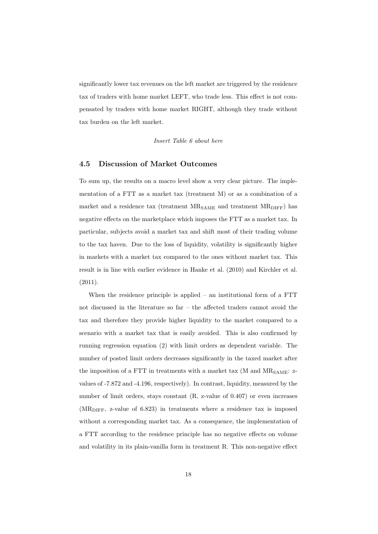significantly lower tax revenues on the left market are triggered by the residence tax of traders with home market LEFT, who trade less. This effect is not compensated by traders with home market RIGHT, although they trade without tax burden on the left market.

*Insert Table 6 about here*

#### **4.5 Discussion of Market Outcomes**

To sum up, the results on a macro level show a very clear picture. The implementation of a FTT as a market tax (treatment M) or as a combination of a market and a residence tax (treatment  $MR_{SAME}$  and treatment  $MR_{DIFF}$ ) has negative effects on the marketplace which imposes the FTT as a market tax. In particular, subjects avoid a market tax and shift most of their trading volume to the tax haven. Due to the loss of liquidity, volatility is significantly higher in markets with a market tax compared to the ones without market tax. This result is in line with earlier evidence in Hanke et al. (2010) and Kirchler et al. (2011).

When the residence principle is applied – an institutional form of a FTT not discussed in the literature so far – the affected traders cannot avoid the tax and therefore they provide higher liquidity to the market compared to a scenario with a market tax that is easily avoided. This is also confirmed by running regression equation (2) with limit orders as dependent variable. The number of posted limit orders decreases significantly in the taxed market after the imposition of a FTT in treatments with a market tax  $(M \text{ and } MR_{SAME}:$  zvalues of -7.872 and -4.196, respectively). In contrast, liquidity, measured by the number of limit orders, stays constant  $(R, z-value$  of 0.407) or even increases  $(MR<sub>DIFF</sub>, z-value of 6.823)$  in treatments where a residence tax is imposed without a corresponding market tax. As a consequence, the implementation of a FTT according to the residence principle has no negative effects on volume and volatility in its plain-vanilla form in treatment R. This non-negative effect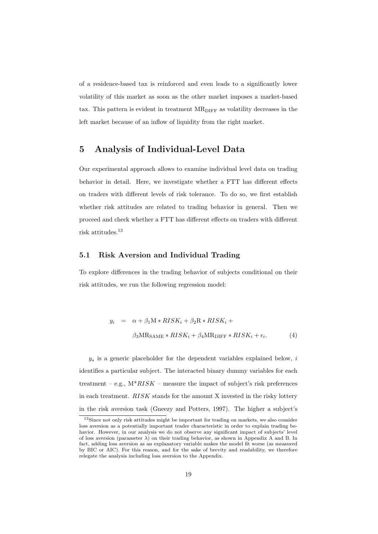of a residence-based tax is reinforced and even leads to a significantly lower volatility of this market as soon as the other market imposes a market-based tax. This pattern is evident in treatment  $MR$ <sub>DIFF</sub> as volatility decreases in the left market because of an inflow of liquidity from the right market.

## **5 Analysis of Individual-Level Data**

Our experimental approach allows to examine individual level data on trading behavior in detail. Here, we investigate whether a FTT has different effects on traders with different levels of risk tolerance. To do so, we first establish whether risk attitudes are related to trading behavior in general. Then we proceed and check whether a FTT has different effects on traders with different risk attitudes.<sup>13</sup>

#### **5.1 Risk Aversion and Individual Trading**

To explore differences in the trading behavior of subjects conditional on their risk attitudes, we run the following regression model:

$$
y_i = \alpha + \beta_1 \mathbf{M} * RISK_i + \beta_2 \mathbf{R} * RISK_i +
$$
  

$$
\beta_3 \mathbf{M} \mathbf{R}_{\mathbf{SAME}} * RISK_i + \beta_4 \mathbf{M} \mathbf{R}_{\mathbf{DIFF}} * RISK_i + \epsilon_i.
$$
 (4)

*y<sup>s</sup>* is a generic placeholder for the dependent variables explained below, *i* identifies a particular subject. The interacted binary dummy variables for each treatment – e.g.,  $M^*RISK$  – measure the impact of subject's risk preferences in each treatment. *RISK* stands for the amount X invested in the risky lottery in the risk aversion task (Gneezy and Potters, 1997). The higher a subject's

<sup>&</sup>lt;sup>13</sup>Since not only risk attitudes might be important for trading on markets, we also consider loss aversion as a potentially important trader characteristic in order to explain trading behavior. However, in our analysis we do not observe any significant impact of subjects' level of loss aversion (parameter *λ*) on their trading behavior, as shown in Appendix A and B. In fact, adding loss aversion as an explanatory variable makes the model fit worse (as measured by BIC or AIC). For this reason, and for the sake of brevity and readability, we therefore relegate the analysis including loss aversion to the Appendix.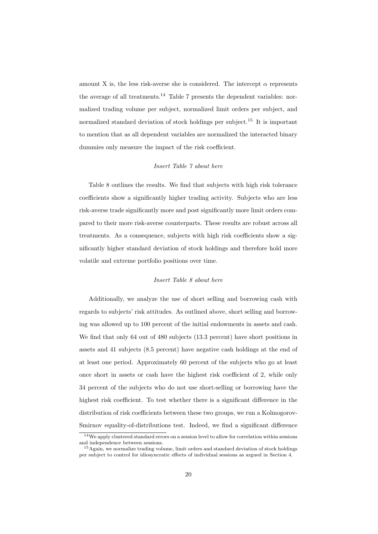amount X is, the less risk-averse she is considered. The intercept  $\alpha$  represents the average of all treatments.<sup>14</sup> Table 7 presents the dependent variables: normalized trading volume per subject, normalized limit orders per subject, and normalized standard deviation of stock holdings per subject.<sup>15</sup> It is important to mention that as all dependent variables are normalized the interacted binary dummies only measure the impact of the risk coefficient.

#### *Insert Table 7 about here*

Table 8 outlines the results. We find that subjects with high risk tolerance coefficients show a significantly higher trading activity. Subjects who are less risk-averse trade significantly more and post significantly more limit orders compared to their more risk-averse counterparts. These results are robust across all treatments. As a consequence, subjects with high risk coefficients show a significantly higher standard deviation of stock holdings and therefore hold more volatile and extreme portfolio positions over time.

#### *Insert Table 8 about here*

Additionally, we analyze the use of short selling and borrowing cash with regards to subjects' risk attitudes. As outlined above, short selling and borrowing was allowed up to 100 percent of the initial endowments in assets and cash. We find that only 64 out of 480 subjects (13.3 percent) have short positions in assets and 41 subjects (8.5 percent) have negative cash holdings at the end of at least one period. Approximately 60 percent of the subjects who go at least once short in assets or cash have the highest risk coefficient of 2, while only 34 percent of the subjects who do not use short-selling or borrowing have the highest risk coefficient. To test whether there is a significant difference in the distribution of risk coefficients between these two groups, we run a Kolmogorov-Smirnov equality-of-distributions test. Indeed, we find a significant difference

<sup>14</sup>We apply clustered standard errors on a session level to allow for correlation within sessions and independence between sessions.

<sup>&</sup>lt;sup>15</sup>Again, we normalize trading volume, limit orders and standard deviation of stock holdings per subject to control for idiosyncratic effects of individual sessions as argued in Section 4.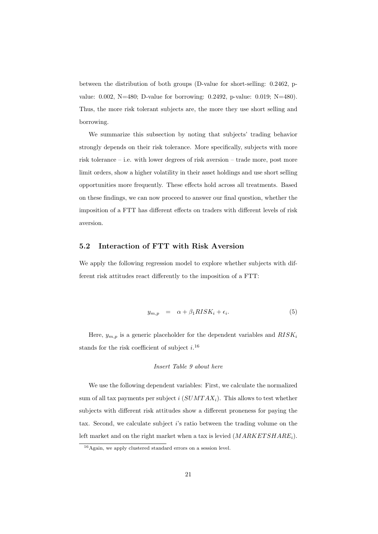between the distribution of both groups (D-value for short-selling: 0.2462, pvalue: 0.002, N=480; D-value for borrowing: 0.2492, p-value: 0.019; N=480). Thus, the more risk tolerant subjects are, the more they use short selling and borrowing.

We summarize this subsection by noting that subjects' trading behavior strongly depends on their risk tolerance. More specifically, subjects with more risk tolerance – i.e. with lower degrees of risk aversion – trade more, post more limit orders, show a higher volatility in their asset holdings and use short selling opportunities more frequently. These effects hold across all treatments. Based on these findings, we can now proceed to answer our final question, whether the imposition of a FTT has different effects on traders with different levels of risk aversion.

#### **5.2 Interaction of FTT with Risk Aversion**

We apply the following regression model to explore whether subjects with different risk attitudes react differently to the imposition of a FTT:

$$
y_{m,p} = \alpha + \beta_1 RISK_i + \epsilon_i. \tag{5}
$$

Here, *ym,p* is a generic placeholder for the dependent variables and *RISK<sup>i</sup>* stands for the risk coefficient of subject *i*. 16

#### *Insert Table 9 about here*

We use the following dependent variables: First, we calculate the normalized sum of all tax payments per subject *i* (*SUMT AXi*). This allows to test whether subjects with different risk attitudes show a different proneness for paying the tax. Second, we calculate subject *i*'s ratio between the trading volume on the left market and on the right market when a tax is levied (*MARKET SHAREi*).

<sup>&</sup>lt;sup>16</sup>Again, we apply clustered standard errors on a session level.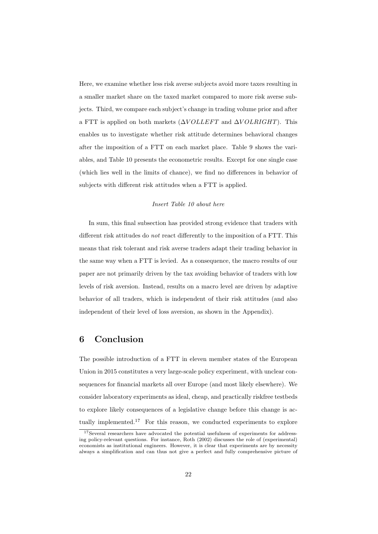Here, we examine whether less risk averse subjects avoid more taxes resulting in a smaller market share on the taxed market compared to more risk averse subjects. Third, we compare each subject's change in trading volume prior and after a FTT is applied on both markets ( $\Delta VOLLEFT$  and  $\Delta VOLRIGHT$ ). This enables us to investigate whether risk attitude determines behavioral changes after the imposition of a FTT on each market place. Table 9 shows the variables, and Table 10 presents the econometric results. Except for one single case (which lies well in the limits of chance), we find no differences in behavior of subjects with different risk attitudes when a FTT is applied.

#### *Insert Table 10 about here*

In sum, this final subsection has provided strong evidence that traders with different risk attitudes do *not* react differently to the imposition of a FTT. This means that risk tolerant and risk averse traders adapt their trading behavior in the same way when a FTT is levied. As a consequence, the macro results of our paper are not primarily driven by the tax avoiding behavior of traders with low levels of risk aversion. Instead, results on a macro level are driven by adaptive behavior of all traders, which is independent of their risk attitudes (and also independent of their level of loss aversion, as shown in the Appendix).

### **6 Conclusion**

The possible introduction of a FTT in eleven member states of the European Union in 2015 constitutes a very large-scale policy experiment, with unclear consequences for financial markets all over Europe (and most likely elsewhere). We consider laboratory experiments as ideal, cheap, and practically riskfree testbeds to explore likely consequences of a legislative change before this change is actually implemented.<sup>17</sup> For this reason, we conducted experiments to explore

<sup>17</sup>Several researchers have advocated the potential usefulness of experiments for addressing policy-relevant questions. For instance, Roth (2002) discusses the role of (experimental) economists as institutional engineers. However, it is clear that experiments are by necessity always a simplification and can thus not give a perfect and fully comprehensive picture of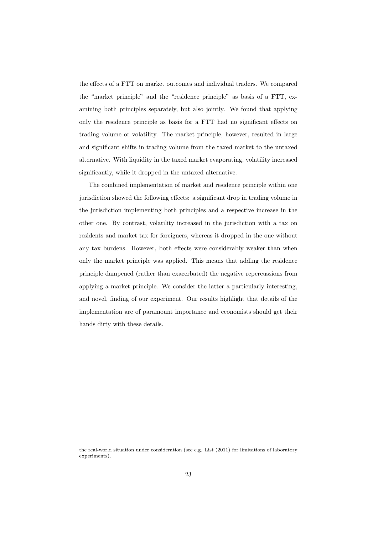the effects of a FTT on market outcomes and individual traders. We compared the "market principle" and the "residence principle" as basis of a FTT, examining both principles separately, but also jointly. We found that applying only the residence principle as basis for a FTT had no significant effects on trading volume or volatility. The market principle, however, resulted in large and significant shifts in trading volume from the taxed market to the untaxed alternative. With liquidity in the taxed market evaporating, volatility increased significantly, while it dropped in the untaxed alternative.

The combined implementation of market and residence principle within one jurisdiction showed the following effects: a significant drop in trading volume in the jurisdiction implementing both principles and a respective increase in the other one. By contrast, volatility increased in the jurisdiction with a tax on residents and market tax for foreigners, whereas it dropped in the one without any tax burdens. However, both effects were considerably weaker than when only the market principle was applied. This means that adding the residence principle dampened (rather than exacerbated) the negative repercussions from applying a market principle. We consider the latter a particularly interesting, and novel, finding of our experiment. Our results highlight that details of the implementation are of paramount importance and economists should get their hands dirty with these details.

the real-world situation under consideration (see e.g. List (2011) for limitations of laboratory experiments).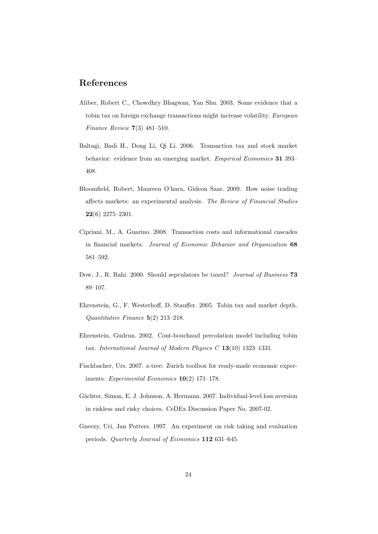### **References**

- Aliber, Robert C., Chowdhry Bhagwan, Yan Shu. 2003. Some evidence that a tobin tax on foreign exchange transactions might increase volatility. *European Finance Review* **7**(3) 481–510.
- Baltagi, Badi H., Dong Li, Qi Li. 2006. Transaction tax and stock market behavior: evidence from an emerging market. *Empirical Economics* **31** 393– 408.
- Bloomfield, Robert, Maureen O'hara, Gideon Saar. 2009. How noise trading affects markets: an experimental analysis. *The Review of Financial Studies* **22**(6) 2275–2301.
- Cipriani, M., A. Guarino. 2008. Transaction costs and informational cascades in financial markets. *Journal of Economic Behavior and Organization* **68** 581–592.
- Dow, J., R. Rahi. 2000. Should sepculators be taxed? *Journal of Business* **73** 89–107.
- Ehrenstein, G., F. Westerhoff, D. Stauffer. 2005. Tobin tax and market depth. *Quantitative Finance* **5**(2) 213–218.
- Ehrenstein, Gudrun. 2002. Cont-bouchaud percolation model including tobin tax. *International Journal of Modern Physics C* **13**(10) 1323–1331.
- Fischbacher, Urs. 2007. z-tree: Zurich toolbox for ready-made economic experiments. *Experimental Economics* **10**(2) 171–178.
- Gächter, Simon, E. J. Johnson, A. Hermann. 2007. Individual-level loss aversion in riskless and risky choices. CeDEx Discussion Paper No. 2007-02.
- Gneezy, Uri, Jan Potters. 1997. An experiment on risk taking and evaluation periods. *Quarterly Journal of Economics* **112** 631–645.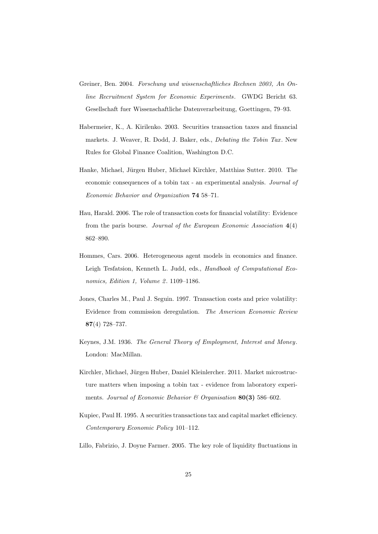- Greiner, Ben. 2004. *Forschung und wissenschaftliches Rechnen 2003, An Online Recruitment System for Economic Experiments*. GWDG Bericht 63. Gesellschaft fuer Wissenschaftliche Datenverarbeitung, Goettingen, 79–93.
- Habermeier, K., A. Kirilenko. 2003. Securities transaction taxes and financial markets. J. Weaver, R. Dodd, J. Baker, eds., *Debating the Tobin Tax* . New Rules for Global Finance Coalition, Washington D.C.
- Hanke, Michael, Jürgen Huber, Michael Kirchler, Matthias Sutter. 2010. The economic consequences of a tobin tax - an experimental analysis. *Journal of Economic Behavior and Organization* **74** 58–71.
- Hau, Harald. 2006. The role of transaction costs for financial volatility: Evidence from the paris bourse. *Journal of the European Economic Association* **4**(4) 862–890.
- Hommes, Cars. 2006. Heterogeneous agent models in economics and finance. Leigh Tesfatsion, Kenneth L. Judd, eds., *Handbook of Computational Economics, Edition 1, Volume 2* . 1109–1186.
- Jones, Charles M., Paul J. Seguin. 1997. Transaction costs and price volatility: Evidence from commission deregulation. *The American Economic Review* **87**(4) 728–737.
- Keynes, J.M. 1936. *The General Theory of Employment, Interest and Money*. London: MacMillan.
- Kirchler, Michael, Jürgen Huber, Daniel Kleinlercher. 2011. Market microstructure matters when imposing a tobin tax - evidence from laboratory experiments. *Journal of Economic Behavior & Organisation* **80(3)** 586–602.
- Kupiec, Paul H. 1995. A securities transactions tax and capital market efficiency. *Contemporary Economic Policy* 101–112.
- Lillo, Fabrizio, J. Doyne Farmer. 2005. The key role of liquidity fluctuations in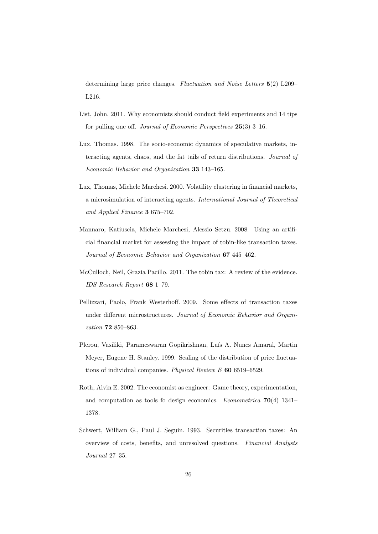determining large price changes. *Fluctuation and Noise Letters* **5**(2) L209– L216.

- List, John. 2011. Why economists should conduct field experiments and 14 tips for pulling one off. *Journal of Economic Perspectives* **25**(3) 3–16.
- Lux, Thomas. 1998. The socio-economic dynamics of speculative markets, interacting agents, chaos, and the fat tails of return distributions. *Journal of Economic Behavior and Organization* **33** 143–165.
- Lux, Thomas, Michele Marchesi. 2000. Volatility clustering in financial markets, a microsimulation of interacting agents. *International Journal of Theoretical and Applied Finance* **3** 675–702.
- Mannaro, Katiuscia, Michele Marchesi, Alessio Setzu. 2008. Using an artificial financial market for assessing the impact of tobin-like transaction taxes. *Journal of Economic Behavior and Organization* **67** 445–462.
- McCulloch, Neil, Grazia Pacillo. 2011. The tobin tax: A review of the evidence. *IDS Research Report* **68** 1–79.
- Pellizzari, Paolo, Frank Westerhoff. 2009. Some effects of transaction taxes under different microstructures. *Journal of Economic Behavior and Organization* **72** 850–863.
- Plerou, Vasiliki, Parameswaran Gopikrishnan, Luís A. Nunes Amaral, Martin Meyer, Eugene H. Stanley. 1999. Scaling of the distribution of price fluctuations of individual companies. *Physical Review E* **60** 6519–6529.
- Roth, Alvin E. 2002. The economist as engineer: Game theory, experimentation, and computation as tools fo design economics. *Econometrica* **70**(4) 1341– 1378.
- Schwert, William G., Paul J. Seguin. 1993. Securities transaction taxes: An overview of costs, benefits, and unresolved questions. *Financial Analysts Journal* 27–35.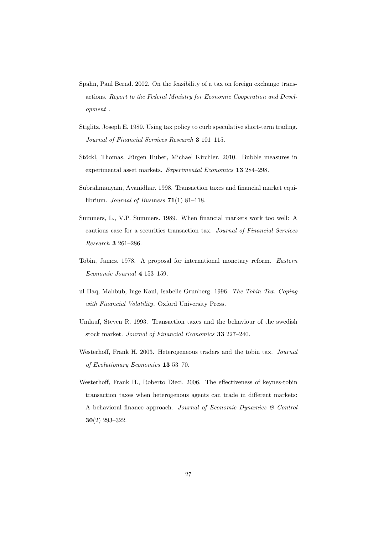- Spahn, Paul Bernd. 2002. On the feasibility of a tax on foreign exchange transactions. *Report to the Federal Ministry for Economic Cooperation and Development* .
- Stiglitz, Joseph E. 1989. Using tax policy to curb speculative short-term trading. *Journal of Financial Services Research* **3** 101–115.
- Stöckl, Thomas, Jürgen Huber, Michael Kirchler. 2010. Bubble measures in experimental asset markets. *Experimental Economics* **13** 284–298.
- Subrahmanyam, Avanidhar. 1998. Transaction taxes and financial market equilibrium. *Journal of Business* **71**(1) 81–118.
- Summers, L., V.P. Summers. 1989. When financial markets work too well: A cautious case for a securities transaction tax. *Journal of Financial Services Research* **3** 261–286.
- Tobin, James. 1978. A proposal for international monetary reform. *Eastern Economic Journal* **4** 153–159.
- ul Haq, Mahbub, Inge Kaul, Isabelle Grunberg. 1996. *The Tobin Tax. Coping with Financial Volatility*. Oxford University Press.
- Umlauf, Steven R. 1993. Transaction taxes and the behaviour of the swedish stock market. *Journal of Financial Economics* **33** 227–240.
- Westerhoff, Frank H. 2003. Heterogeneous traders and the tobin tax. *Journal of Evolutionary Economics* **13** 53–70.
- Westerhoff, Frank H., Roberto Dieci. 2006. The effectiveness of keynes-tobin transaction taxes when heterogenous agents can trade in different markets: A behavioral finance approach. *Journal of Economic Dynamics & Control* **30**(2) 293–322.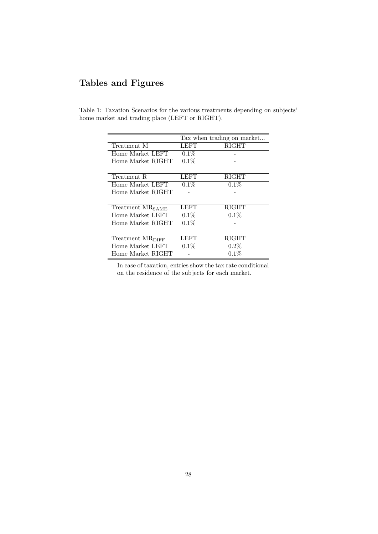## **Tables and Figures**

|  |                                                |  |  | Table 1: Taxation Scenarios for the various treatments depending on subjects' |  |
|--|------------------------------------------------|--|--|-------------------------------------------------------------------------------|--|
|  | home market and trading place (LEFT or RIGHT). |  |  |                                                                               |  |

|                              |         | Tax when trading on market |
|------------------------------|---------|----------------------------|
| Treatment M                  | LEFT    | <b>RIGHT</b>               |
| Home Market LEFT             | $0.1\%$ |                            |
| Home Market RIGHT            | $0.1\%$ |                            |
|                              |         |                            |
| Treatment R                  | LEFT    | <b>RIGHT</b>               |
| Home Market LEFT             | $0.1\%$ | $0.1\%$                    |
| Home Market RIGHT            |         |                            |
|                              |         |                            |
| Treatment MR <sub>SAME</sub> | LEFT    | <b>RIGHT</b>               |
| Home Market LEFT             | $0.1\%$ | $0.1\%$                    |
| Home Market RIGHT            | $0.1\%$ |                            |
|                              |         |                            |
| Treatment MR <sub>DIFF</sub> | LEFT    | RIGHT                      |
| Home Market LEFT             | $0.1\%$ | $0.2\%$                    |
| Home Market RIGHT            |         | $0.1\%$                    |

In case of taxation, entries show the tax rate conditional on the residence of the subjects for each market.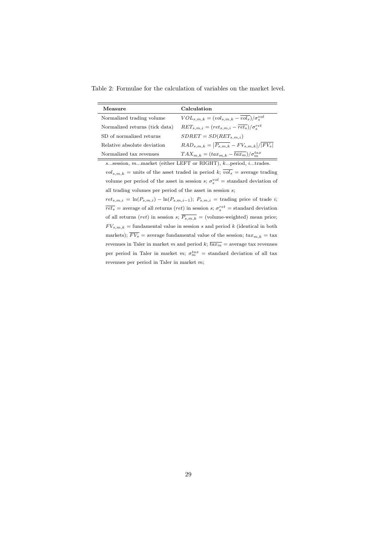Table 2: Formulae for the calculation of variables on the market level.

| Measure                        | Calculation                                                     |
|--------------------------------|-----------------------------------------------------------------|
| Normalized trading volume      | $VOL_{s,m,k} = (vol_{s,m,k} - vol_s)/\sigma_s^{vol}$            |
| Normalized returns (tick data) | $RET_{s,m,i} = (ret_{s,m,i} - \overline{ret_s})/\sigma_s^{ret}$ |
| SD of normalized returns       | $SDRET = SD(RET_{s,m,i})$                                       |
| Relative absolute deviation    | $RAD_{s,m,k} =  \overline{P_{s,m,k}} - FV_{s,m,k} / FV_s $      |
| Normalized tax revenues        | $TAX_{m,k} = (tax_{m,k} - \overline{tax_{m}})/\sigma_{m}^{tax}$ |

*s*...session, *m*...market (either LEFT or RIGHT), *k*...period, *i*...trades.  $vol_{s,m,k}$  = units of the asset traded in period *k*;  $\overline{vol_s}$  = average trading volume per period of the asset in session *s*;  $\sigma_s^{vol} =$  standard deviation of all trading volumes per period of the asset in session *s*;

 $ret_{s,m,i} = \ln(P_{s,m,i}) - \ln(P_{s,m,i-1})$ ;  $P_{s,m,i}$  = trading price of trade *i*;  $\overline{ret_s}$  = average of all returns (*ret*) in session *s*;  $\sigma_s^{ret}$  = standard deviation of all returns (*ret*) in session *s*;  $\overline{P_{s,m,k}}$  = (volume-weighted) mean price;  $FV_{s,m,k}$  = fundamental value in session *s* and period *k* (identical in both markets);  $\overline{FV_s}$  = average fundamental value of the session;  $\overline{tax}_{m,k}$  = tax revenues in Taler in market *m* and period *k*;  $\overline{tax<sub>m</sub>}$  = average tax revenues per period in Taler in market  $m$ ;  $\sigma_m^{tax}$  = standard deviation of all tax revenues per period in Taler in market *m*;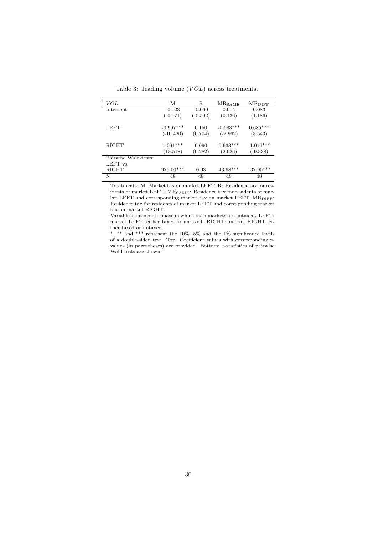| VOL                  | М           | R          | <b>MR</b> SAME | <b>MRDIFF</b> |
|----------------------|-------------|------------|----------------|---------------|
| Intercept            | $-0.023$    | $-0.060$   | 0.014          | 0.083         |
|                      | $(-0.571)$  | $(-0.592)$ | (0.136)        | (1.186)       |
| LEFT                 | $-0.997***$ | 0.150      | $-0.688***$    | $0.685***$    |
|                      | $(-10.420)$ | (0.704)    | $(-2.962)$     | (3.543)       |
| <b>RIGHT</b>         | $1.091***$  | 0.090      | $0.633***$     | $-1.016***$   |
|                      | (13.518)    | (0.282)    | (2.926)        | $(-9.338)$    |
| Pairwise Wald-tests: |             |            |                |               |
| LEFT vs.             |             |            |                |               |
| <b>RIGHT</b>         | $976.00***$ | 0.03       | $43.68***$     | $137.90***$   |
| N                    | 48          | 48         | 48             | 48            |

Table 3: Trading volume ( $VOL$ ) across treatments.

Treatments: M: Market tax on market LEFT. R: Residence tax for residents of market LEFT. MR<sub>SAME</sub>: Residence tax for residents of market LEFT and corresponding market tax on market LEFT. MR<sub>DIFF</sub>: Residence tax for residents of market LEFT and corresponding market tax on market RIGHT.

Variables: Intercept: phase in which both markets are untaxed. LEFT: market LEFT, either taxed or untaxed. RIGHT: market RIGHT, either taxed or untaxed.

\*, \*\* and \*\*\* represent the 10%, 5% and the 1% significance levels of a double-sided test. Top: Coefficient values with corresponding zvalues (in parentheses) are provided. Bottom: t-statistics of pairwise Wald-tests are shown.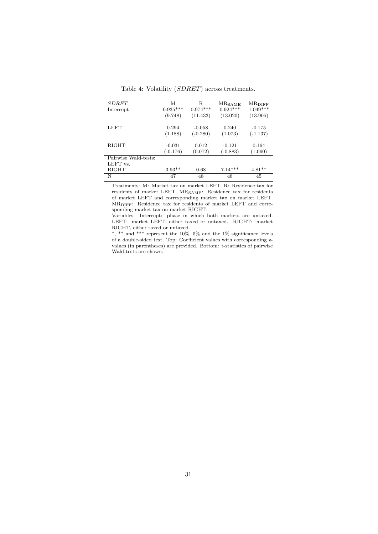| <b>SDRET</b>         | М          | R          | $MR_{SAME}$ | $MR$ DIFF  |
|----------------------|------------|------------|-------------|------------|
| Intercept            | $0.935***$ | $0.974***$ | $0.924***$  | $1.049***$ |
|                      | (9.748)    | (11.433)   | (13.020)    | (13.905)   |
| LEFT                 | 0.294      | $-0.058$   | 0.240       | $-0.175$   |
|                      | (1.188)    | $(-0.280)$ | (1.073)     | $(-1.137)$ |
|                      |            |            |             |            |
| <b>RIGHT</b>         | $-0.031$   | 0.012      | $-0.121$    | 0.164      |
|                      | $(-0.176)$ | (0.072)    | $(-0.883)$  | (1.060)    |
| Pairwise Wald-tests: |            |            |             |            |
| LEFT vs.             |            |            |             |            |
| <b>RIGHT</b>         | $3.93**$   | 0.68       | $7.14***$   | $4.81**$   |
| N                    | 47         | 48         | 48          | 45         |

Table 4: Volatility (*SDRET*) across treatments.

Treatments: M: Market tax on market LEFT. R: Residence tax for residents of market LEFT. MR<sub>SAME</sub>: Residence tax for residents of market LEFT and corresponding market tax on market LEFT. MRDIFF: Residence tax for residents of market LEFT and corresponding market tax on market RIGHT.

Variables: Intercept: phase in which both markets are untaxed. LEFT: market LEFT, either taxed or untaxed. RIGHT: market RIGHT, either taxed or untaxed.

\*, \*\* and \*\*\* represent the  $10\%$ , 5% and the 1% significance levels of a double-sided test. Top: Coefficient values with corresponding zvalues (in parentheses) are provided. Bottom: t-statistics of pairwise Wald-tests are shown.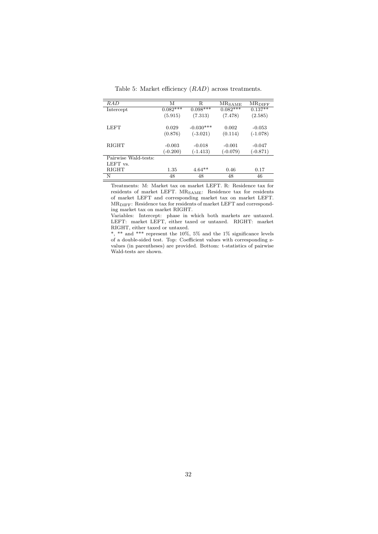| RAD                  | М          | R           | $MR_{SAME}$ | <b>MR</b> DIFF |
|----------------------|------------|-------------|-------------|----------------|
| Intercept            | $0.082***$ | $0.098***$  | $0.082***$  | $0.137**$      |
|                      | (5.915)    | (7.313)     | (7.478)     | (2.585)        |
|                      |            |             |             |                |
| LEFT                 | 0.029      | $-0.030***$ | 0.002       | $-0.053$       |
|                      | (0.876)    | $(-3.021)$  | (0.114)     | $(-1.078)$     |
|                      |            |             |             |                |
| <b>RIGHT</b>         | $-0.003$   | $-0.018$    | $-0.001$    | $-0.047$       |
|                      | $(-0.200)$ | $(-1.413)$  | $(-0.079)$  | $(-0.871)$     |
| Pairwise Wald-tests: |            |             |             |                |
| LEFT vs.             |            |             |             |                |
| RIGHT                | 1.35       | $4.64**$    | 0.46        | 0.17           |
| N                    | 48         | 48          | 48          | 46             |

Table 5: Market efficiency (*RAD*) across treatments.

Treatments: M: Market tax on market LEFT. R: Residence tax for residents of market LEFT. MR<sub>SAME</sub>: Residence tax for residents of market LEFT and corresponding market tax on market LEFT. MRDIFF: Residence tax for residents of market LEFT and corresponding market tax on market RIGHT.

Variables: Intercept: phase in which both markets are untaxed. LEFT: market LEFT, either taxed or untaxed. RIGHT: market RIGHT, either taxed or untaxed.

\*, \*\* and \*\*\* represent the  $10\%$ , 5% and the 1% significance levels of a double-sided test. Top: Coefficient values with corresponding zvalues (in parentheses) are provided. Bottom: t-statistics of pairwise Wald-tests are shown.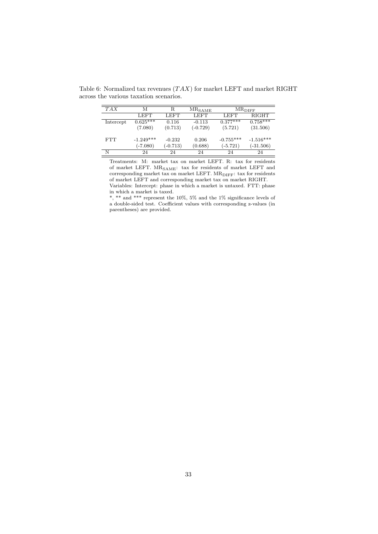Table 6: Normalized tax revenues (*T AX*) for market LEFT and market RIGHT across the various taxation scenarios.

| TAX       | М                | R.         | $MR_{\footnotesize \rm SAME}$ |             | $MR$ diff    |
|-----------|------------------|------------|-------------------------------|-------------|--------------|
|           | LEFT <sup></sup> | LEFT       | LEFT                          | <b>LEFT</b> | <b>RIGHT</b> |
| Intercept | $0.625***$       | 0.116      | $-0.113$                      | $0.377***$  | $0.758***$   |
|           | (7.080)          | (0.713)    | $(-0.729)$                    | (5.721)     | (31.506)     |
| FTT       | $-1.249***$      | $-0.232$   | 0.206                         | $-0.755***$ | $-1.516***$  |
|           | $(-7.080)$       | $(-0.713)$ | (0.688)                       | $(-5.721)$  | $(-31.506)$  |
| N         | 24               | 24         | 24                            | 24          | 24           |

Treatments: M: market tax on market LEFT. R: tax for residents of market LEFT.  $\rm MR_{SAME}\colon$  tax for residents of market LEFT and corresponding market tax on market LEFT. MR<sub>DIFF</sub>: tax for residents of market LEFT and corresponding market tax on market RIGHT. Variables: Intercept: phase in which a market is untaxed. FTT: phase in which a market is taxed.

\*, \*\* and \*\*\* represent the 10%, 5% and the 1% significance levels of a double-sided test. Coefficient values with corresponding z-values (in parentheses) are provided.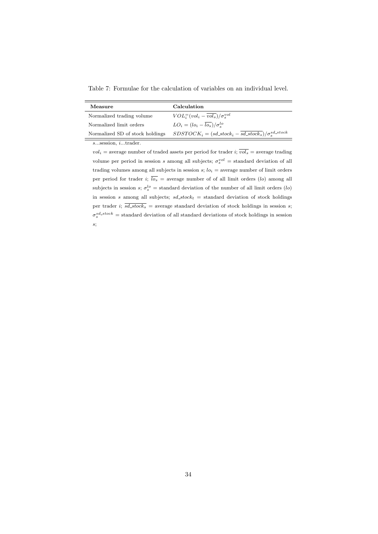Table 7: Formulae for the calculation of variables on an individual level.

| Measure                         | Calculation                                                            |
|---------------------------------|------------------------------------------------------------------------|
| Normalized trading volume       | $VOLi=(voli - \overline{vols})/\sigma_s^{vol}$                         |
| Normalized limit orders         | $LO_i = (lo_i - \overline{lo_s})/\sigma_s^{lo}$                        |
| Normalized SD of stock holdings | $SDSTOCKi = (sd\_stocki - \overline{sd\_stocks})/\sigma_s^{sd\_stock}$ |
| $s$ session, $i$ trader.        |                                                                        |

 $vol_i$  = average number of traded assets per period for trader *i*;  $vol_s$  = average trading volume per period in session *s* among all subjects;  $\sigma_s^{vol} =$  standard deviation of all trading volumes among all subjects in session  $s$ ;  $lo_i$  = average number of limit orders per period for trader *i*;  $\overline{lo_s}$  = average number of of all limit orders (*lo*) among all subjects in session *s*;  $\sigma_s^{lo}$  = standard deviation of the number of all limit orders (*lo*) in session *s* among all subjects;  $sd\_stock_t$  = standard deviation of stock holdings per trader *i*;  $\overline{sd\_stock_s}$  = average standard deviation of stock holdings in session *s*;  $\sigma_s^{sd\_stock}$  = standard deviation of all standard deviations of stock holdings in session *s*;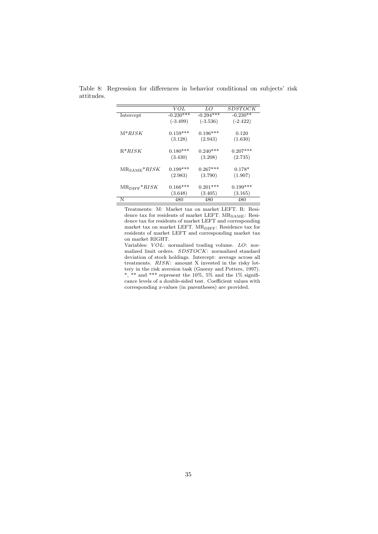|                         | VOL         | LO          | <i>SDSTOCK</i> |
|-------------------------|-------------|-------------|----------------|
| Intercept               | $-0.230***$ | $-0.294***$ | $-0.230**$     |
|                         | $(-3.499)$  | $(-3.536)$  | $(-2.422)$     |
| $M*RISK$                | $0.159***$  | $0.196***$  | 0.120          |
|                         | (3.128)     | (2.943)     | (1.630)        |
| $R^*RISK$               | $0.180***$  | $0.240***$  | $0.207***$     |
|                         | (3.430)     | (3.208)     | (2.735)        |
| $MR_{\text{SAME}}*RISK$ | $0.199***$  | $0.267***$  | $0.178*$       |
|                         | (2.983)     | (3.790)     | (1.907)        |
| $MR_{\text{DIFF}}*RISK$ | $0.166***$  | $0.201***$  | $0.199***$     |
|                         | (3.648)     | (3.405)     | (3.165)        |
| N                       | 480         | 480         | 480            |

Table 8: Regression for differences in behavior conditional on subjects' risk attitudes.

Treatments: M: Market tax on market LEFT. R: Residence tax for residents of market LEFT.  $\rm MR_{SAME}\colon\, Resi$ dence tax for residents of market LEFT and corresponding market tax on market LEFT.  $\rm MR_{\rm DIFF} \colon$  Residence tax for residents of market LEFT and corresponding market tax on market RIGHT.

Variables: *V OL*: normalized trading volume. *LO*: normalized limit orders. *SDST OCK*: normalized standard deviation of stock holdings. Intercept: average across all treatments. *RISK*: amount X invested in the risky lottery in the risk aversion task (Gneezy and Potters, 1997). \*, \*\* and \*\*\* represent the  $10\%$ , 5% and the 1% significance levels of a double-sided test. Coefficient values with corresponding z-values (in parentheses) are provided.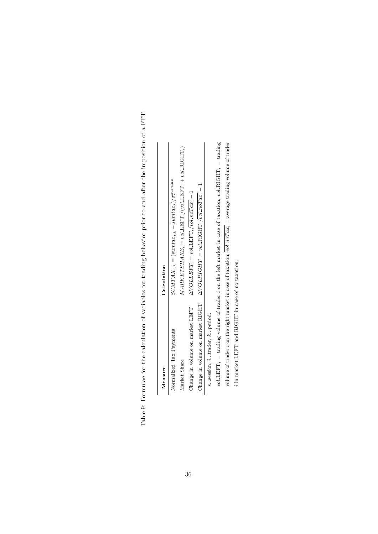| I | I<br>י                     |
|---|----------------------------|
|   |                            |
|   |                            |
|   | j<br>֠<br>I<br>١<br>į<br>j |
|   | )<br>S                     |
|   | S<br>S                     |
|   |                            |
|   | i<br>i<br>j                |
|   | ì<br>֘<br>I                |
|   |                            |
|   | l<br>i<br>Samuan           |
|   | ׇ֦֡֡                       |
|   | J<br>j                     |
|   |                            |
|   | j                          |
| I | ֕                          |
|   |                            |
|   | í<br>ì<br>i<br>l           |

| Measure                         | Calculation                                                                                                          |
|---------------------------------|----------------------------------------------------------------------------------------------------------------------|
| Normalized Tax Payments         | $SUMTAX_{i,k} = (sumtax_{i,k} - sumtax_{s})/\sigma_s^{summax}$                                                       |
| Market Share                    | $MARKETSHARE_i = vol. \text{LEFT}_i / (vol. \text{LEFT}_i + vol. \text{RIGHT}_i)$                                    |
| Change in volume on market LEFT | $\Delta VOLLEFT_i = volLEFT_i/vol.noTax_i - 1$                                                                       |
|                                 | Change in volume on market RIGHT $\Delta VOLRIGH1$ <sub>i</sub> = vol.RIGHT <sub>i</sub> /vol.noTax <sub>i</sub> - 1 |
| ssession, itrader, kperiod.     |                                                                                                                      |

 $vol\text{LEFT}_i$  = trading volume of trader  $i$  on the left market in case of taxation;  $vol\text{-}\text{RIGHT}_i$  = trading volume of trader *i* on the right market in case of taxation;  $vol\_noTax_i$  = average trading volume of trader *vol* LEFT*i* = trading volume of trader *i* on the left market in case of taxation; *vol* RIGHT*i* = trading volume of trader *i* on the right market in case of taxation;  $vol\_noTax_i = average$  trading volume of trader  $i$  in market LEFT and RIGHT in case of no taxation; in market LEFT and RIGHT in case of no taxation;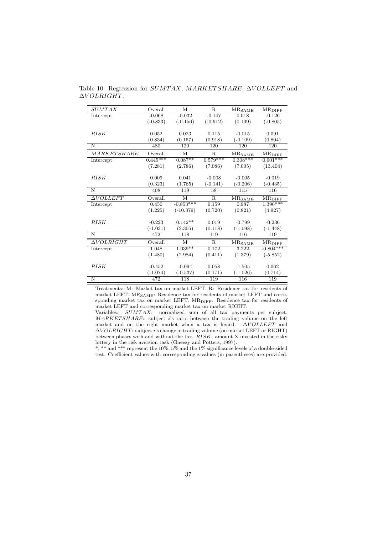| <b>SUMTAX</b>               | Overall    | М           | $\mathbf{R}$            | $MR_{SAME}$                      | <b>MRDIFF</b>                            |
|-----------------------------|------------|-------------|-------------------------|----------------------------------|------------------------------------------|
| Intercept                   | $-0.068$   | $-0.032$    | $-0.147$                | 0.018                            | $-0.126$                                 |
|                             | $(-0.833)$ | $(-0.156)$  | $(-0.912)$              | (0.109)                          | $(-0.805)$                               |
|                             |            |             |                         |                                  |                                          |
| RISK                        | 0.052      | 0.023       | 0.115                   | $-0.015$                         | 0.091                                    |
|                             | (0.834)    | (0.157)     | (0.918)                 | $(-0.109)$                       | (0.804)                                  |
| $\overline{\rm N}$          | 480        | 120         | 120                     | 120                              | 120                                      |
| <b>MARKETSHARE</b>          | Overall    | M           | $\overline{R}$          | $\overline{\rm MR}_{\rm SAMPLE}$ | $\overline{\rm MR}_{\rm DIFF}$           |
| Intercept                   | $0.445***$ | $0.087**$   | $0.579***$              | $0.308***$                       | $0.901***$                               |
|                             | (7.281)    | (2.786)     | (7.086)                 | (7.005)                          | (13.404)                                 |
|                             |            |             |                         |                                  |                                          |
| <i>RISK</i>                 | 0.009      | 0.041       | $-0.008$                | $-0.005$                         | $-0.019$                                 |
|                             | (0.323)    | (1.765)     | $(-0.141)$              | $(-0.206)$                       | $(-0.435)$                               |
| N                           | 408        | 119         | 58                      | 115                              | 116                                      |
| $\overline{\Delta VOLLEFT}$ | Overall    | M           | $\overline{\mathrm{R}}$ | $MR_{SAME}$                      | $\overline{\mathrm{MR}_{\mathrm{DIFF}}}$ |
| Intercept                   | 0.450      | $-0.853***$ | 0.159                   | 0.987                            | $1.396***$                               |
|                             | (1.225)    | $(-10.379)$ | (0.720)                 | (0.821)                          | (4.927)                                  |
|                             |            |             |                         |                                  |                                          |
| RISK                        | $-0.223$   | $0.142**$   | 0.019                   | $-0.799$                         | $-0.236$                                 |
|                             | $(-1.031)$ | (2.305)     | (0.118)                 | $(-1.098)$                       | $(-1.448)$                               |
| $\overline{N}$              | 472        | 118         | 119                     | 116                              | 119                                      |
| $\Delta VOLRIGHT$           | Overall    | M           | R                       | $\overline{\rm MR_{SAME}}$       | <b>MRDIFF</b>                            |
| Intercept                   | 1.048      | $1.039**$   | 0.172                   | 3.222                            | $-0.804***$                              |
|                             | (1.480)    | (2.984)     | (0.411)                 | (1.379)                          | $(-5.852)$                               |
|                             |            |             |                         |                                  |                                          |
| RISK                        | $-0.452$   | $-0.094$    | 0.058                   | $-1.505$                         | 0.062                                    |
|                             | $(-1.074)$ | $(-0.537)$  | (0.171)                 | $(-1.026)$                       | (0.714)                                  |
| $\overline{\rm N}$          | 472        | 118         | 119                     | 116                              | 119                                      |

Table 10: Regression for *SUMTAX*, *MARKETSHARE*, ∆*VOLLEFT* and ∆*V OLRIGHT*.

Treatments: M: Market tax on market LEFT. R: Residence tax for residents of market LEFT.  $\rm MR_{SAME}\colon$  Residence tax for residents of market LEFT and corresponding market tax on market LEFT. MR<sub>DIFF</sub>: Residence tax for residents of market LEFT and corresponding market tax on market RIGHT.

Variables: *SUMT AX*: normalized sum of all tax payments per subject. *MARKET SHARE*: subject *i*'s ratio between the trading volume on the left market and on the right market when a tax is levied. △*VOLLEFT* and ∆*V OLRIGHT*: subject *i*'s change in trading volume (on market LEFT or RIGHT) between phases with and without the tax. *RISK*: amount X invested in the risky lottery in the risk aversion task (Gneezy and Potters, 1997).

\*, \*\* and \*\*\* represent the 10%, 5% and the 1% significance levels of a double-sided test. Coefficient values with corresponding z-values (in parentheses) are provided.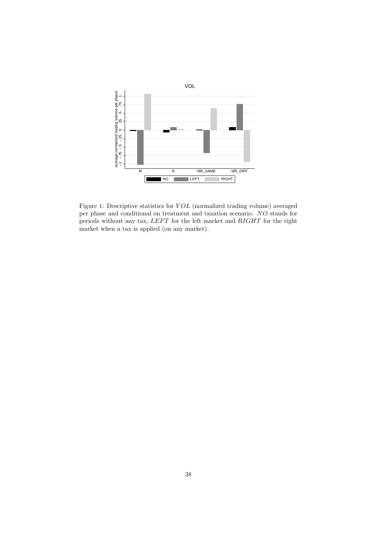

Figure 1: Descriptive statistics for *V OL* (normalized trading volume) averaged per phase and conditional on treatment and taxation scenario. *NO* stands for periods without any tax, *LEFT* for the left market and *RIGHT* for the right market when a tax is applied (on any market).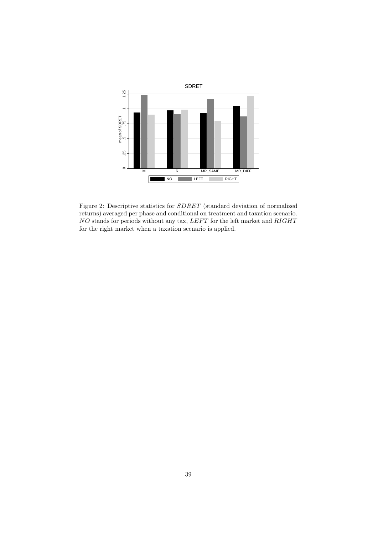

Figure 2: Descriptive statistics for *SDRET* (standard deviation of normalized returns) averaged per phase and conditional on treatment and taxation scenario. *NO* stands for periods without any tax, *LEF T* for the left market and *RIGHT* for the right market when a taxation scenario is applied.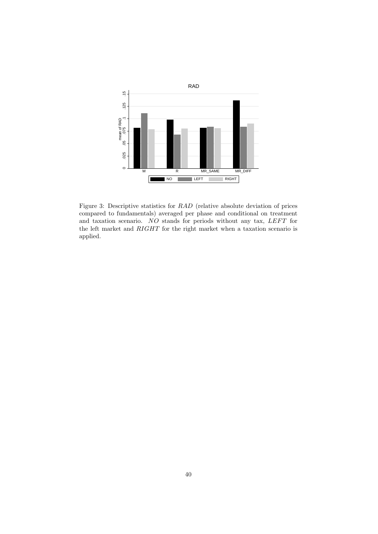

Figure 3: Descriptive statistics for *RAD* (relative absolute deviation of prices compared to fundamentals) averaged per phase and conditional on treatment and taxation scenario. *NO* stands for periods without any tax, *LEFT* for the left market and *RIGHT* for the right market when a taxation scenario is applied.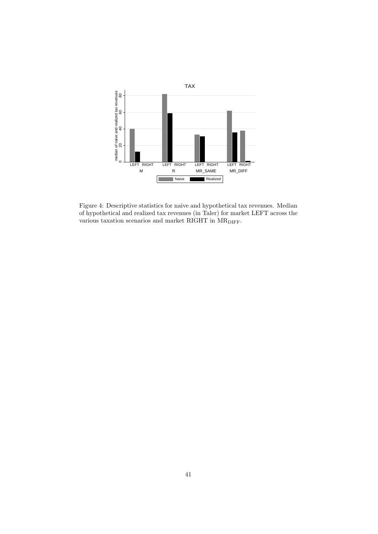

Figure 4: Descriptive statistics for naive and hypothetical tax revenues. Median of hypothetical and realized tax revenues (in Taler) for market LEFT across the various taxation scenarios and market RIGHT in  $MR_{\text{DIFF}}$ .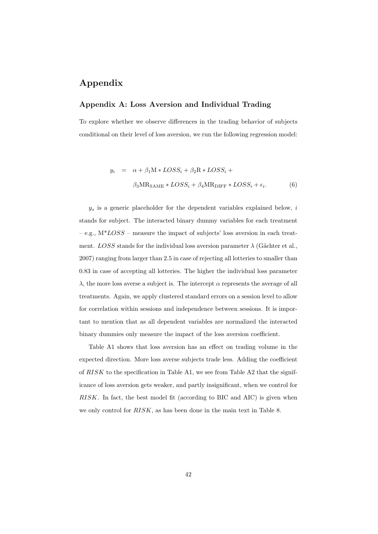## **Appendix**

#### **Appendix A: Loss Aversion and Individual Trading**

To explore whether we observe differences in the trading behavior of subjects conditional on their level of loss aversion, we run the following regression model:

$$
y_i = \alpha + \beta_1 M * LOSS_i + \beta_2 R * LOSS_i +
$$
  

$$
\beta_3 M R_{SAME} * LOSS_i + \beta_4 M R_{DIFF} * LOSS_i + \epsilon_i.
$$
 (6)

 $y_s$  is a generic placeholder for the dependent variables explained below,  $i$ stands for subject. The interacted binary dummy variables for each treatment – e.g., M\**LOSS* – measure the impact of subjects' loss aversion in each treatment. *LOSS* stands for the individual loss aversion parameter  $\lambda$  (Gächter et al., 2007) ranging from larger than 2.5 in case of rejecting all lotteries to smaller than 0.83 in case of accepting all lotteries. The higher the individual loss parameter  $λ$ , the more loss averse a subject is. The intercept  $α$  represents the average of all treatments. Again, we apply clustered standard errors on a session level to allow for correlation within sessions and independence between sessions. It is important to mention that as all dependent variables are normalized the interacted binary dummies only measure the impact of the loss aversion coefficient.

Table A1 shows that loss aversion has an effect on trading volume in the expected direction. More loss averse subjects trade less. Adding the coefficient of *RISK* to the specification in Table A1, we see from Table A2 that the significance of loss aversion gets weaker, and partly insignificant, when we control for *RISK*. In fact, the best model fit (according to BIC and AIC) is given when we only control for *RISK*, as has been done in the main text in Table 8.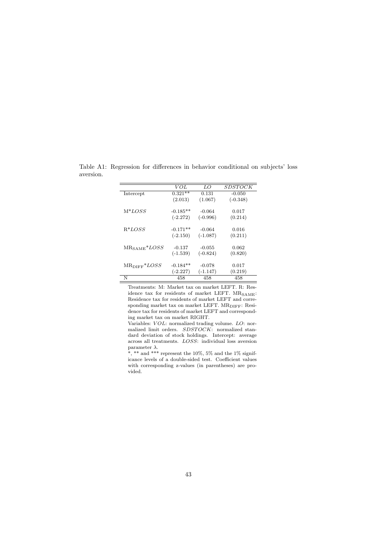|                           | VOL        | LO         | <i>SDSTOCK</i> |
|---------------------------|------------|------------|----------------|
| Intercept                 | $0.321**$  | 0.131      | $-0.050$       |
|                           | (2.013)    | (1.067)    | $(-0.348)$     |
| $M^*LOS$                  | $-0.185**$ | $-0.064$   | 0.017          |
|                           | $(-2.272)$ | $(-0.996)$ | (0.214)        |
| $R^*LOS$                  | $-0.171**$ | $-0.064$   | 0.016          |
|                           | $(-2.150)$ | $(-1.087)$ | (0.211)        |
| $MR_{\text{SAME}} * LOSS$ | $-0.137$   | $-0.055$   | 0.062          |
|                           | $(-1.539)$ | $(-0.824)$ | (0.820)        |
| $MR_{\text{DIFF}}*LOSS$   | $-0.184**$ | $-0.078$   | 0.017          |
|                           | $(-2.227)$ | $(-1.147)$ | (0.219)        |
| N                         | 458        | 458        | 458            |

Table A1: Regression for differences in behavior conditional on subjects' loss aversion.

Treatments: M: Market tax on market LEFT. R: Residence tax for residents of market LEFT.  $MR_{SAME}$ : Residence tax for residents of market LEFT and corresponding market tax on market LEFT.  $\rm MR_{\rm DIFF} \colon\, Resi$ dence tax for residents of market LEFT and corresponding market tax on market RIGHT.

Variables: *V OL*: normalized trading volume. *LO*: normalized limit orders. *SDSTOCK*: normalized standard deviation of stock holdings. Intercept: average across all treatments. *LOSS*: individual loss aversion parameter  $\lambda.$ 

\*, \*\* and \*\*\* represent the 10%, 5% and the 1% significance levels of a double-sided test. Coefficient values with corresponding z-values (in parentheses) are provided.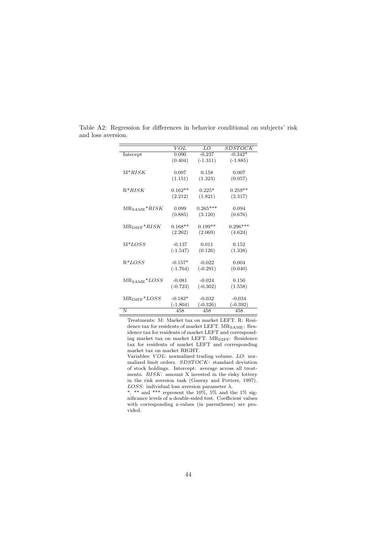|                                        | VOL        | LO         | <b>SDSTOCK</b> |
|----------------------------------------|------------|------------|----------------|
| Intecept                               | 0.090      | $-0.237$   | $-0.342*$      |
|                                        | (0.404)    | $(-1.311)$ | $(-1.885)$     |
| $M*RISK$                               | 0.097      | 0.158      | 0.007          |
|                                        | (1.151)    | (1.323)    | (0.057)        |
| $R^*RISK$                              | $0.162**$  | $0.225*$   | $0.259**$      |
|                                        | (2.212)    | (1.821)    | (2.317)        |
| $MR_{\text{SAME}}$ <sup>*</sup> $RISK$ | 0.099      | $0.265***$ | 0.094          |
|                                        | (0.885)    | (3.120)    | (0.676)        |
| $MR$ DIFF <sup>*</sup> $RISK$          | $0.168**$  | $0.199**$  | $0.296***$     |
|                                        | (2.262)    | (2.069)    | (4.624)        |
| $M*LOSS$                               | $-0.137$   | 0.011      | 0.152          |
|                                        | $(-1.547)$ | (0.126)    | (1.338)        |
| $R^*LOS$                               | $-0.157*$  | $-0.022$   | 0.004          |
|                                        | $(-1.764)$ | $(-0.291)$ | (0.040)        |
| $MR_{\text{SAME}} * LOSS$              | $-0.081$   | $-0.024$   | 0.150          |
|                                        | $(-0.723)$ | $(-0.302)$ | (1.558)        |
| $MR$ DIFF <sup>*LOSS</sup>             | $-0.183*$  | $-0.032$   | $-0.034$       |
|                                        | $(-1.804)$ | $(-0.326)$ | $(-0.392)$     |
| N                                      | 458        | 458        | 458            |

Table A2: Regression for differences in behavior conditional on subjects' risk and loss aversion.

Treatments: M: Market tax on market LEFT. R: Residence tax for residents of market LEFT. MR<sub>SAME</sub>: Residence tax for residents of market LEFT and corresponding market tax on market LEFT. MR<sub>DIFF</sub>: Residence tax for residents of market LEFT and corresponding market tax on market RIGHT.

Variables: *V OL*: normalized trading volume. *LO*: normalized limit orders. *SDST OCK*: standard deviation of stock holdings. Intercept: average across all treatments. *RISK*: amount X invested in the risky lottery in the risk aversion task (Gneezy and Potters, 1997). *LOSS*: individual loss aversion parameter *λ*.

\*, \*\* and \*\*\* represent the 10%, 5% and the 1% significance levels of a double-sided test. Coefficient values with corresponding z-values (in parentheses) are provided.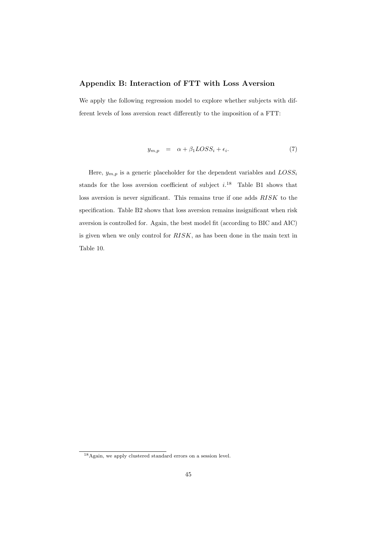#### **Appendix B: Interaction of FTT with Loss Aversion**

We apply the following regression model to explore whether subjects with different levels of loss aversion react differently to the imposition of a FTT:

$$
y_{m,p} = \alpha + \beta_1 LOS S_i + \epsilon_i. \tag{7}
$$

Here,  $y_{m,p}$  is a generic placeholder for the dependent variables and  $LOSS_i$ stands for the loss aversion coefficient of subject  $i^{18}$  Table B1 shows that loss aversion is never significant. This remains true if one adds *RISK* to the specification. Table B2 shows that loss aversion remains insignificant when risk aversion is controlled for. Again, the best model fit (according to BIC and AIC) is given when we only control for *RISK*, as has been done in the main text in Table 10.

<sup>&</sup>lt;sup>18</sup> Again, we apply clustered standard errors on a session level.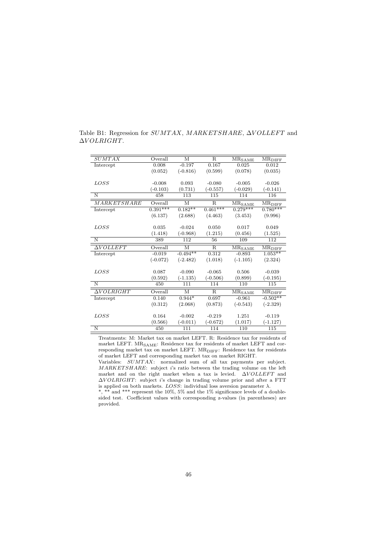| <b>SUMTAX</b>               | Overall          | M                    | R.                      | $MR_{SAME}$                      | $MR_{\rm DIFF}$                      |
|-----------------------------|------------------|----------------------|-------------------------|----------------------------------|--------------------------------------|
| Intercept                   | 0.008            | $-0.197$             | 0.167                   | 0.025                            | 0.012                                |
|                             | (0.052)          | $(-0.816)$           | (0.599)                 | (0.078)                          | (0.035)                              |
|                             |                  |                      |                         |                                  |                                      |
| LOSS                        | $-0.008$         | 0.093                | $-0.080$                | $-0.005$                         | $-0.026$                             |
|                             | $(-0.103)$       | (0.731)              | $(-0.557)$              | $(-0.029)$                       | $(-0.141)$                           |
| N                           | $45\overline{8}$ | 113                  | 115                     | 114                              | 116                                  |
| MARKETSHARE                 | Overall          | М                    | $\mathbf R$             | $\overline{\rm MR}_{\rm SAMPLE}$ | $\overline{\rm MR}_{\rm DIFF}$       |
| Intercept                   | $0.391***$       | $0.\overline{182**}$ | $0.461***$              | $0.279***$                       | $0.780***$                           |
|                             | (6.137)          | (2.688)              | (4.463)                 | (3.453)                          | (9.996)                              |
|                             |                  |                      |                         |                                  |                                      |
| <i>LOSS</i>                 | 0.035            | $-0.024$             | 0.050                   | 0.017                            | 0.049                                |
|                             | (1.418)          | $(-0.968)$           | (1.215)                 | (0.456)                          | (1.525)                              |
| N                           | 389              | 112                  | 56                      | 109                              | 112                                  |
| $\overline{\Delta VOLLEFT}$ | Overall          | M                    | $\overline{\mathrm{R}}$ | $\overline{\rm MR}_{\rm SAMPLE}$ | $\overline{\text{MR}_{\text{DIFF}}}$ |
| Intercept                   | $-0.019$         | $-0.494**$           | 0.312                   | $-0.893$                         | $1.053**$                            |
|                             | $(-0.072)$       | $(-2.482)$           | (1.018)                 | $(-1.105)$                       | (2.324)                              |
|                             |                  |                      |                         |                                  |                                      |
| LOSS                        | 0.087            | $-0.090$             | $-0.065$                | 0.506                            | $-0.039$                             |
|                             | (0.592)          | $(-1.135)$           | $(-0.506)$              | (0.899)                          | $(-0.195)$                           |
| N                           | 450              | 111                  | 114                     | 110                              | 115                                  |
| $\Delta VOLRIGHT$           | Overall          | M                    | $\mathbf R$             | <b>MRSAME</b>                    | $MR$ DIFF                            |
| Intercept                   | 0.140            | $0.944*$             | 0.697                   | $-0.961$                         | $-0.502**$                           |
|                             | (0.312)          | (2.068)              | (0.873)                 | $(-0.543)$                       | $(-2.329)$                           |
|                             |                  |                      |                         |                                  |                                      |
| LOSS                        | 0.164            | $-0.002$             | $-0.219$                | 1.251                            | $-0.119$                             |
|                             | (0.566)          | $(-0.011)$           | $(-0.672)$              | (1.017)                          | $(-1.127)$                           |
| N                           | 450              | 111                  | 114                     | 110                              | 115                                  |

Table B1: Regression for *SUMTAX*, *MARKETSHARE*, ∆*VOLLEFT* and ∆*V OLRIGHT*.

Treatments: M: Market tax on market LEFT. R: Residence tax for residents of market LEFT.  $\rm MR_{SAME}\colon$  Residence tax for residents of market LEFT and corresponding market tax on market LEFT.  $\rm MR_{\rm DIFF} \colon$  Residence tax for residents of market LEFT and corresponding market tax on market RIGHT.

Variables: *SUMT AX*: normalized sum of all tax payments per subject. *MARKET SHARE*: subject *i*'s ratio between the trading volume on the left market and on the right market when a tax is levied. △*VOLLEFT* and ∆*V OLRIGHT*: subject *i*'s change in trading volume prior and after a FTT is applied on both markets. *LOSS*: individual loss aversion parameter  $\lambda$ .

\*, \*\* and \*\*\* represent the 10%, 5% and the 1% significance levels of a doublesided test. Coefficient values with corresponding z-values (in parentheses) are provided.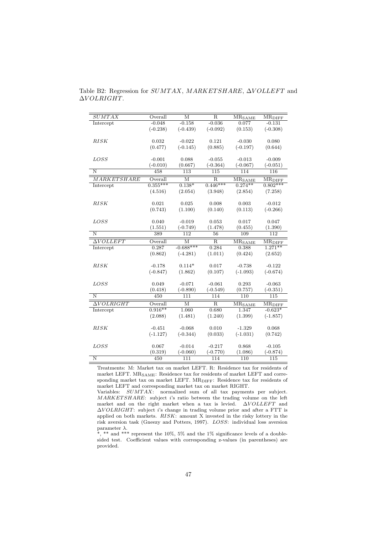| <b>SUMTAX</b>           | Overall           | М                           | R                              | $\overline{\rm MR_{SAME}}$          | $\overline{\rm MR}_{\rm DIFF}$       |
|-------------------------|-------------------|-----------------------------|--------------------------------|-------------------------------------|--------------------------------------|
| Intercept               | $-0.048$          | $-0.158$                    | $-0.036$                       | 0.077                               | $-0.131$                             |
|                         | $(-0.238)$        | $(-0.439)$                  | $(-0.092)$                     | (0.153)                             | $(-0.308)$                           |
|                         |                   |                             |                                |                                     |                                      |
| RISK                    | 0.032             | $-0.022$                    | 0.121                          | $-0.030$                            | 0.080                                |
|                         | (0.477)           | $(-0.145)$                  | (0.885)                        | $(-0.197)$                          | (0.644)                              |
|                         |                   |                             |                                |                                     |                                      |
| <i>LOSS</i>             | $-0.001$          | 0.088                       | $-0.055$                       | $-0.013$                            | $-0.009$                             |
| $\overline{\rm N}$      | $(-0.010)$<br>458 | (0.667)<br>$\overline{113}$ | $(-0.364)$<br>$\overline{115}$ | $(-0.067)$<br>114                   | $(-0.051)$<br>$\overline{116}$       |
|                         |                   |                             |                                |                                     |                                      |
| <b>MARKETSHARE</b>      | Overall           | $\overline{\rm M}$          | $\overline{\mathrm{R}}$        | $\overline{\rm MR}_{\rm SAMPLE}$    | $\overline{\text{MR}_{\text{DIFF}}}$ |
| Intercept               | $0.355***$        | $0.138*$                    | $0.446***$                     | $0.274**$                           | $0.802***$                           |
|                         | (4.516)           | (2.054)                     | (3.948)                        | (2.854)                             | (7.258)                              |
|                         |                   |                             |                                |                                     |                                      |
| RISK                    | 0.021             | 0.025                       | 0.008                          | 0.003                               | $-0.012$                             |
|                         | (0.743)           | (1.100)                     | (0.140)                        | (0.113)                             | $(-0.266)$                           |
| LOSS                    | 0.040             | $-0.019$                    | 0.053                          | 0.017                               | 0.047                                |
|                         | (1.551)           | $(-0.749)$                  | (1.478)                        | (0.455)                             | (1.390)                              |
| $\overline{\mathrm{N}}$ | 389               | 112                         | 56                             | 109                                 | $\overline{112}$                     |
|                         |                   |                             |                                |                                     |                                      |
|                         |                   |                             |                                |                                     |                                      |
| $\Delta VOLLET$         | Overall           | $\overline{\rm M}$          | $\overline{\mathrm{R}}$        | $\overline{\rm MR_{SAME}}$          | $\overline{\text{MR}_{\text{DIFF}}}$ |
| Intercept               | 0.287             | $-0.688***$                 | 0.284                          | 0.388                               | $1.271**$                            |
|                         | (0.862)           | $(-4.281)$                  | (1.011)                        | (0.424)                             | (2.652)                              |
| RISK                    | $-0.178$          | $0.114*$                    | 0.017                          | $-0.738$                            | $-0.122$                             |
|                         | $(-0.847)$        | (1.862)                     | (0.107)                        | $(-1.093)$                          | $(-0.674)$                           |
|                         |                   |                             |                                |                                     |                                      |
| <b>LOSS</b>             | 0.049             | $-0.071$                    | $-0.061$                       | 0.293                               | $-0.063$                             |
|                         | (0.418)           | $(-0.890)$                  | $(-0.549)$                     | (0.757)                             | $(-0.351)$                           |
| N                       | 450               | 111                         | 114                            | 110                                 | 115                                  |
| $\Delta VOLRIGHT$       | Overall           | $\overline{\mathbf{M}}$     | $\overline{\mathrm{R}}$        |                                     | $\overline{\rm MR}_{\rm DIFF}$       |
| Intercept               | $0.916**$         | 1.060                       | 0.680                          | $\overline{\rm MR_{SAME}}$<br>1.347 | $-0.623*$                            |
|                         | (2.088)           | (1.481)                     | (1.240)                        | (1.399)                             | $(-1.857)$                           |
|                         |                   |                             |                                |                                     |                                      |
| <b>RISK</b>             | $-0.451$          | $-0.068$                    | 0.010                          | $-1.329$                            | 0.068                                |
|                         | $(-1.127)$        | $(-0.344)$                  | (0.033)                        | $(-1.031)$                          | (0.742)                              |
|                         |                   |                             |                                |                                     |                                      |
| <b>LOSS</b>             | 0.067             | $-0.014$                    | $-0.217$                       | 0.868                               | $-0.105$                             |
| $\mathbf N$             | (0.319)<br>450    | $(-0.060)$<br>111           | $(-0.770)$<br>114              | (1.086)<br>110                      | $(-0.874)$<br>115                    |

Table B2: Regression for  $SUMTAX$ , MARKETSHARE, ∆*VOLLEFT* and ∆*V OLRIGHT*.

Treatments: M: Market tax on market LEFT. R: Residence tax for residents of market LEFT.  $MR_{\mathrm{SAME}}$ : Residence tax for residents of market LEFT and corresponding market tax on market LEFT. MR<sub>DIFF</sub>: Residence tax for residents of market LEFT and corresponding market tax on market RIGHT.

Variables:  $SUMTAX$ : normalized sum of all tax payments per subject. *MARKET SHARE*: subject *i*'s ratio between the trading volume on the left market and on the right market when a tax is levied.  $\Delta VOLLEFT$  and ∆*V OLRIGHT*: subject *i*'s change in trading volume prior and after a FTT is applied on both markets. *RISK*: amount X invested in the risky lottery in the risk aversion task (Gneezy and Potters, 1997). *LOSS*: individual loss aversion parameter *λ*.

\*, \*\* and \*\*\* represent the 10%, 5% and the 1% significance levels of a doublesided test. Coefficient values with corresponding z-values (in parentheses) are provided.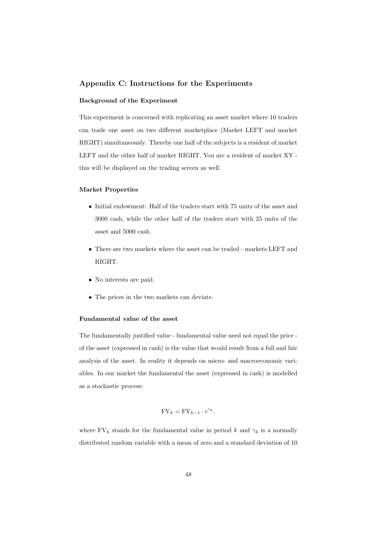#### **Appendix C: Instructions for the Experiments**

#### **Background of the Experiment**

This experiment is concerned with replicating an asset market where 10 traders can trade one asset on two different marketplace (Market LEFT and market RIGHT) simultaneously. Thereby one half of the subjects is a resident of market LEFT and the other half of market RIGHT. You are a resident of market XY this will be displayed on the trading screen as well.

#### **Market Properties**

- *•* Initial endowment: Half of the traders start with 75 units of the asset and 3000 cash, while the other half of the traders start with 25 units of the asset and 5000 cash.
- *•* There are two markets where the asset can be traded markets LEFT and RIGHT.
- *•* No interests are paid.
- *•* The prices in the two markets can deviate.

#### **Fundamental value of the asset**

The fundamentally justified value - fundamental value need not equal the price of the asset (expressed in cash) is the value that would result from a full and fair analysis of the asset. In reality it depends on micro- and macroeconomic variables. In our market the fundamental the asset (expressed in cash) is modelled as a stochastic process:

$$
FV_k = FV_{k-1} \cdot e^{\gamma_k}.
$$

where  $\text{FV}_k$  stands for the fundamental value in period *k* and  $\gamma_k$  is a normally distributed random variable with a mean of zero and a standard deviation of 10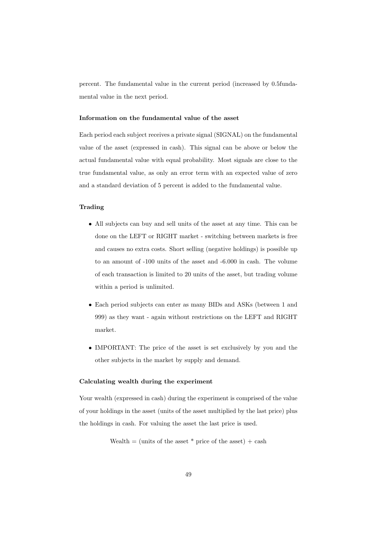percent. The fundamental value in the current period (increased by 0.5fundamental value in the next period.

#### **Information on the fundamental value of the asset**

Each period each subject receives a private signal (SIGNAL) on the fundamental value of the asset (expressed in cash). This signal can be above or below the actual fundamental value with equal probability. Most signals are close to the true fundamental value, as only an error term with an expected value of zero and a standard deviation of 5 percent is added to the fundamental value.

#### **Trading**

- *•* All subjects can buy and sell units of the asset at any time. This can be done on the LEFT or RIGHT market - switching between markets is free and causes no extra costs. Short selling (negative holdings) is possible up to an amount of -100 units of the asset and -6.000 in cash. The volume of each transaction is limited to 20 units of the asset, but trading volume within a period is unlimited.
- *•* Each period subjects can enter as many BIDs and ASKs (between 1 and 999) as they want - again without restrictions on the LEFT and RIGHT market.
- *•* IMPORTANT: The price of the asset is set exclusively by you and the other subjects in the market by supply and demand.

#### **Calculating wealth during the experiment**

Your wealth (expressed in cash) during the experiment is comprised of the value of your holdings in the asset (units of the asset multiplied by the last price) plus the holdings in cash. For valuing the asset the last price is used.

Wealth  $=$  (units of the asset  $*$  price of the asset)  $+$  cash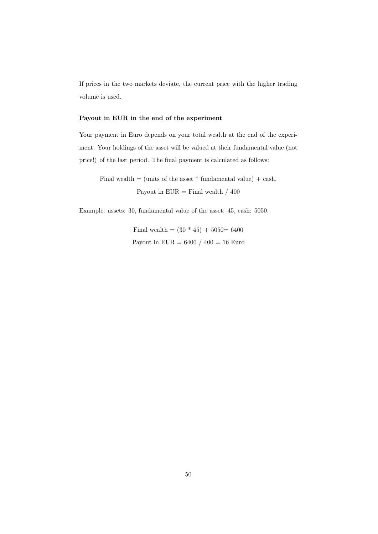If prices in the two markets deviate, the current price with the higher trading volume is used.

#### **Payout in EUR in the end of the experiment**

Your payment in Euro depends on your total wealth at the end of the experiment. Your holdings of the asset will be valued at their fundamental value (not price!) of the last period. The final payment is calculated as follows:

Final wealth  $=$  (units of the asset  $*$  fundamental value)  $+$  cash, Payout in  $EUR = Final$  wealth / 400

Example: assets: 30, fundamental value of the asset: 45, cash: 5050.

Final wealth =  $(30 * 45) + 5050 = 6400$ Payout in EUR =  $6400 / 400 = 16$  Euro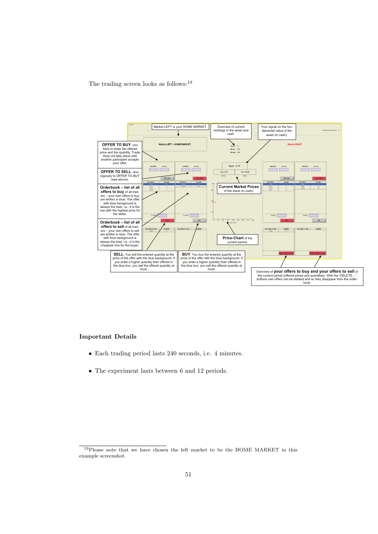The trading screen looks as follows:  $^{19}$ 



#### **Important Details**

- *•* Each trading period lasts 240 seconds, i.e. 4 minutes.
- The experiment lasts between 6 and 12 periods.

<sup>&</sup>lt;sup>19</sup>Please note that we have chosen the left market to be the HOME MARKET in this example screenshot.